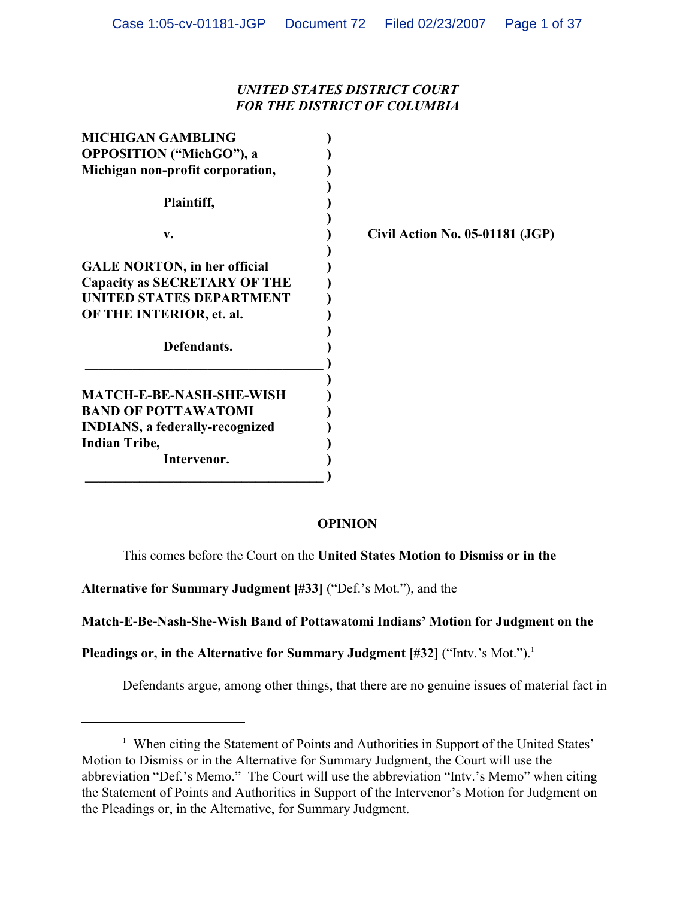# *UNITED STATES DISTRICT COURT FOR THE DISTRICT OF COLUMBIA*

| <b>MICHIGAN GAMBLING</b>               |                                 |
|----------------------------------------|---------------------------------|
| <b>OPPOSITION</b> ("MichGO"), a        |                                 |
| Michigan non-profit corporation,       |                                 |
| Plaintiff,                             |                                 |
| v.                                     | Civil Action No. 05-01181 (JGP) |
|                                        |                                 |
| <b>GALE NORTON, in her official</b>    |                                 |
| Capacity as SECRETARY OF THE           |                                 |
| UNITED STATES DEPARTMENT               |                                 |
| OF THE INTERIOR, et. al.               |                                 |
| Defendants.                            |                                 |
|                                        |                                 |
| <b>MATCH-E-BE-NASH-SHE-WISH</b>        |                                 |
| <b>BAND OF POTTAWATOMI</b>             |                                 |
| <b>INDIANS, a federally-recognized</b> |                                 |
| <b>Indian Tribe,</b>                   |                                 |
| Intervenor.                            |                                 |
|                                        |                                 |

# **OPINION**

This comes before the Court on the **United States Motion to Dismiss or in the**

**Alternative for Summary Judgment [#33]** ("Def.'s Mot."), and the

**Match-E-Be-Nash-She-Wish Band of Pottawatomi Indians' Motion for Judgment on the**

Pleadings or, in the Alternative for Summary Judgment [#32] ("Intv.'s Mot.").<sup>1</sup>

Defendants argue, among other things, that there are no genuine issues of material fact in

<sup>&</sup>lt;sup>1</sup> When citing the Statement of Points and Authorities in Support of the United States' Motion to Dismiss or in the Alternative for Summary Judgment, the Court will use the abbreviation "Def.'s Memo." The Court will use the abbreviation "Intv.'s Memo" when citing the Statement of Points and Authorities in Support of the Intervenor's Motion for Judgment on the Pleadings or, in the Alternative, for Summary Judgment.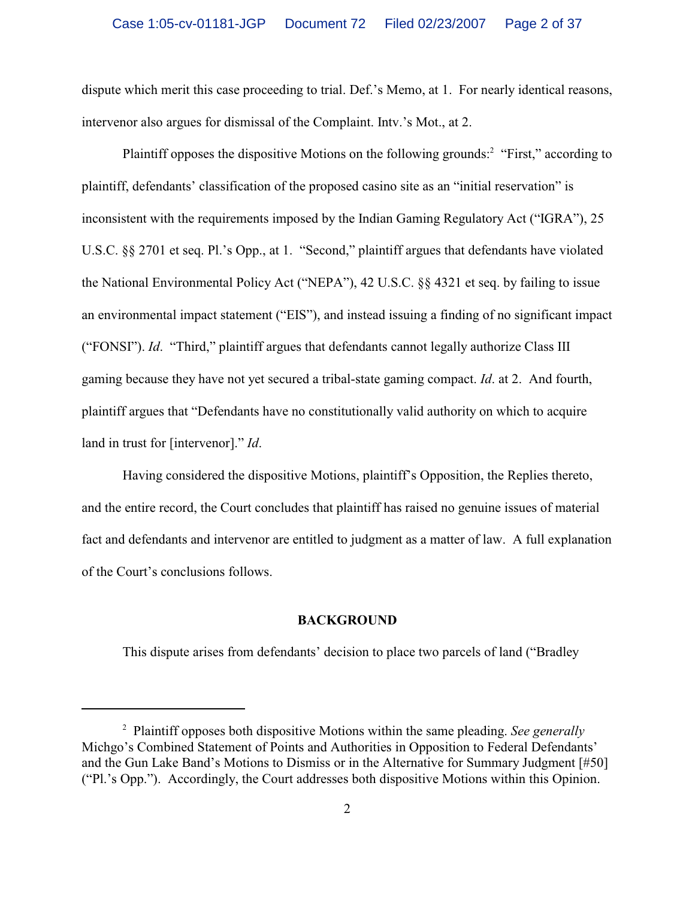dispute which merit this case proceeding to trial. Def.'s Memo, at 1. For nearly identical reasons, intervenor also argues for dismissal of the Complaint. Intv.'s Mot., at 2.

Plaintiff opposes the dispositive Motions on the following grounds:<sup>2</sup> "First," according to plaintiff, defendants' classification of the proposed casino site as an "initial reservation" is inconsistent with the requirements imposed by the Indian Gaming Regulatory Act ("IGRA"), 25 U.S.C. §§ 2701 et seq. Pl.'s Opp., at 1. "Second," plaintiff argues that defendants have violated the National Environmental Policy Act ("NEPA"), 42 U.S.C. §§ 4321 et seq. by failing to issue an environmental impact statement ("EIS"), and instead issuing a finding of no significant impact ("FONSI"). *Id*. "Third," plaintiff argues that defendants cannot legally authorize Class III gaming because they have not yet secured a tribal-state gaming compact. *Id*. at 2. And fourth, plaintiff argues that "Defendants have no constitutionally valid authority on which to acquire land in trust for [intervenor]." *Id*.

Having considered the dispositive Motions, plaintiff's Opposition, the Replies thereto, and the entire record, the Court concludes that plaintiff has raised no genuine issues of material fact and defendants and intervenor are entitled to judgment as a matter of law. A full explanation of the Court's conclusions follows.

### **BACKGROUND**

This dispute arises from defendants' decision to place two parcels of land ("Bradley

Plaintiff opposes both dispositive Motions within the same pleading. *See generally* <sup>2</sup> Michgo's Combined Statement of Points and Authorities in Opposition to Federal Defendants' and the Gun Lake Band's Motions to Dismiss or in the Alternative for Summary Judgment [#50] ("Pl.'s Opp."). Accordingly, the Court addresses both dispositive Motions within this Opinion.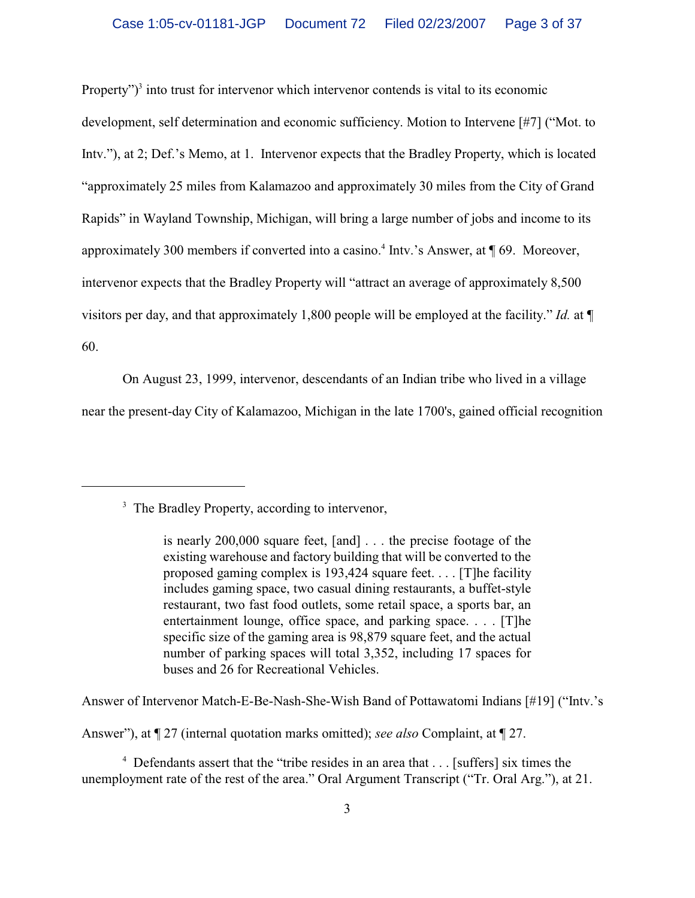Property" $)^3$  into trust for intervenor which intervenor contends is vital to its economic development, self determination and economic sufficiency. Motion to Intervene [#7] ("Mot. to Intv."), at 2; Def.'s Memo, at 1. Intervenor expects that the Bradley Property, which is located "approximately 25 miles from Kalamazoo and approximately 30 miles from the City of Grand Rapids" in Wayland Township, Michigan, will bring a large number of jobs and income to its approximately 300 members if converted into a casino.<sup>4</sup> Intv.'s Answer, at  $\P$  69. Moreover, intervenor expects that the Bradley Property will "attract an average of approximately 8,500 visitors per day, and that approximately 1,800 people will be employed at the facility." *Id.* at ¶ 60.

On August 23, 1999, intervenor, descendants of an Indian tribe who lived in a village

near the present-day City of Kalamazoo, Michigan in the late 1700's, gained official recognition

Answer of Intervenor Match-E-Be-Nash-She-Wish Band of Pottawatomi Indians [#19] ("Intv.'s

Answer"), at ¶ 27 (internal quotation marks omitted); *see also* Complaint, at ¶ 27.

 $4$  Defendants assert that the "tribe resides in an area that  $\dots$  [suffers] six times the unemployment rate of the rest of the area." Oral Argument Transcript ("Tr. Oral Arg."), at 21.

<sup>&</sup>lt;sup>3</sup> The Bradley Property, according to intervenor,

is nearly 200,000 square feet, [and] . . . the precise footage of the existing warehouse and factory building that will be converted to the proposed gaming complex is 193,424 square feet. . . . [T]he facility includes gaming space, two casual dining restaurants, a buffet-style restaurant, two fast food outlets, some retail space, a sports bar, an entertainment lounge, office space, and parking space. . . . [T]he specific size of the gaming area is 98,879 square feet, and the actual number of parking spaces will total 3,352, including 17 spaces for buses and 26 for Recreational Vehicles.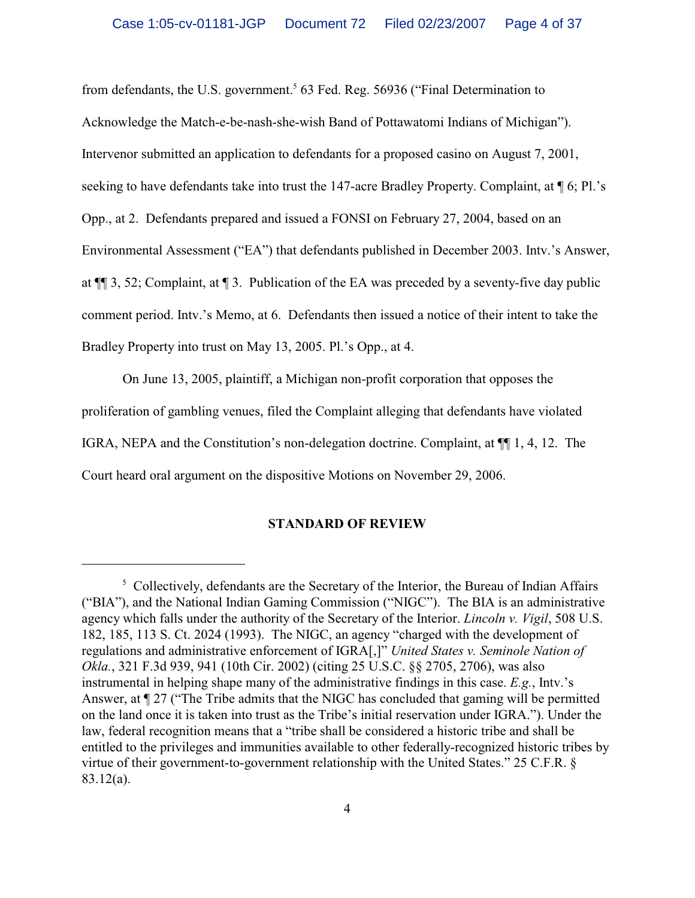from defendants, the U.S. government.<sup>5</sup> 63 Fed. Reg. 56936 ("Final Determination to Acknowledge the Match-e-be-nash-she-wish Band of Pottawatomi Indians of Michigan"). Intervenor submitted an application to defendants for a proposed casino on August 7, 2001, seeking to have defendants take into trust the 147-acre Bradley Property. Complaint, at  $\P$  6; Pl.'s Opp., at 2. Defendants prepared and issued a FONSI on February 27, 2004, based on an Environmental Assessment ("EA") that defendants published in December 2003. Intv.'s Answer, at ¶¶ 3, 52; Complaint, at ¶ 3. Publication of the EA was preceded by a seventy-five day public comment period. Intv.'s Memo, at 6. Defendants then issued a notice of their intent to take the Bradley Property into trust on May 13, 2005. Pl.'s Opp., at 4.

On June 13, 2005, plaintiff, a Michigan non-profit corporation that opposes the proliferation of gambling venues, filed the Complaint alleging that defendants have violated IGRA, NEPA and the Constitution's non-delegation doctrine. Complaint, at ¶¶ 1, 4, 12. The Court heard oral argument on the dispositive Motions on November 29, 2006.

## **STANDARD OF REVIEW**

<sup>&</sup>lt;sup>5</sup> Collectively, defendants are the Secretary of the Interior, the Bureau of Indian Affairs ("BIA"), and the National Indian Gaming Commission ("NIGC"). The BIA is an administrative agency which falls under the authority of the Secretary of the Interior. *Lincoln v. Vigil*, 508 U.S. 182, 185, 113 S. Ct. 2024 (1993). The NIGC, an agency "charged with the development of regulations and administrative enforcement of IGRA[,]" *United States v. Seminole Nation of Okla.*, 321 F.3d 939, 941 (10th Cir. 2002) (citing 25 U.S.C. §§ 2705, 2706), was also instrumental in helping shape many of the administrative findings in this case. *E.g.*, Intv.'s Answer, at ¶ 27 ("The Tribe admits that the NIGC has concluded that gaming will be permitted on the land once it is taken into trust as the Tribe's initial reservation under IGRA."). Under the law, federal recognition means that a "tribe shall be considered a historic tribe and shall be entitled to the privileges and immunities available to other federally-recognized historic tribes by virtue of their government-to-government relationship with the United States." 25 C.F.R. § 83.12(a).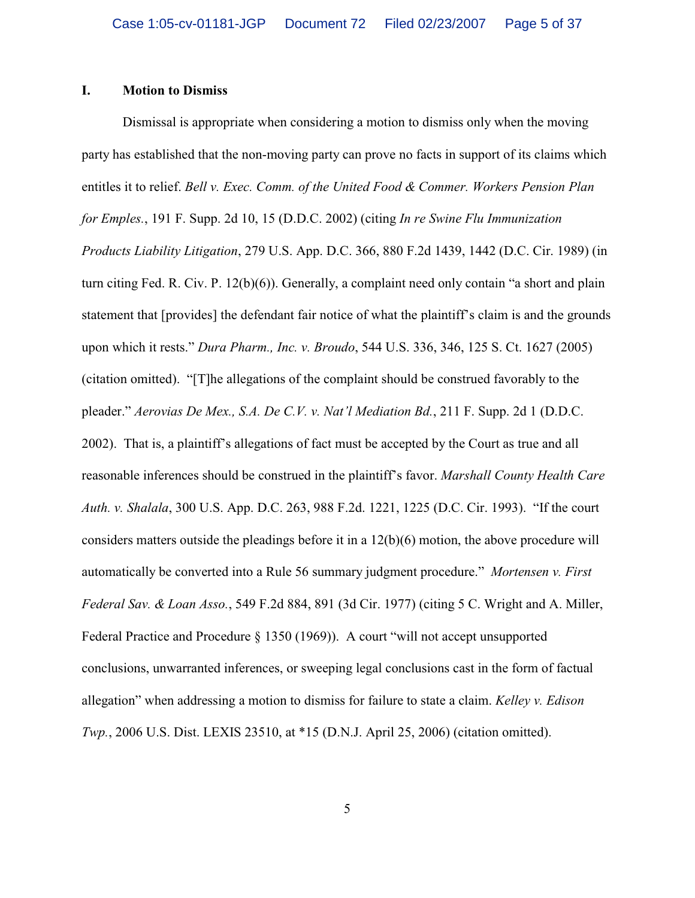### **I. Motion to Dismiss**

Dismissal is appropriate when considering a motion to dismiss only when the moving party has established that the non-moving party can prove no facts in support of its claims which entitles it to relief. *Bell v. Exec. Comm. of the United Food & Commer. Workers Pension Plan for Emples.*, 191 F. Supp. 2d 10, 15 (D.D.C. 2002) (citing *In re Swine Flu Immunization Products Liability Litigation*, 279 U.S. App. D.C. 366, 880 F.2d 1439, 1442 (D.C. Cir. 1989) (in turn citing Fed. R. Civ. P. 12(b)(6)). Generally, a complaint need only contain "a short and plain statement that [provides] the defendant fair notice of what the plaintiff's claim is and the grounds upon which it rests." *Dura Pharm., Inc. v. Broudo*, 544 U.S. 336, 346, 125 S. Ct. 1627 (2005) (citation omitted). "[T]he allegations of the complaint should be construed favorably to the pleader." *Aerovias De Mex., S.A. De C.V. v. Nat'l Mediation Bd.*, 211 F. Supp. 2d 1 (D.D.C. 2002). That is, a plaintiff's allegations of fact must be accepted by the Court as true and all reasonable inferences should be construed in the plaintiff's favor. *Marshall County Health Care Auth. v. Shalala*, 300 U.S. App. D.C. 263, 988 F.2d. 1221, 1225 (D.C. Cir. 1993). "If the court considers matters outside the pleadings before it in a  $12(b)(6)$  motion, the above procedure will automatically be converted into a Rule 56 summary judgment procedure." *Mortensen v. First Federal Sav. & Loan Asso.*, 549 F.2d 884, 891 (3d Cir. 1977) (citing 5 C. Wright and A. Miller, Federal Practice and Procedure § 1350 (1969)). A court "will not accept unsupported conclusions, unwarranted inferences, or sweeping legal conclusions cast in the form of factual allegation" when addressing a motion to dismiss for failure to state a claim. *Kelley v. Edison Twp.*, 2006 U.S. Dist. LEXIS 23510, at \*15 (D.N.J. April 25, 2006) (citation omitted).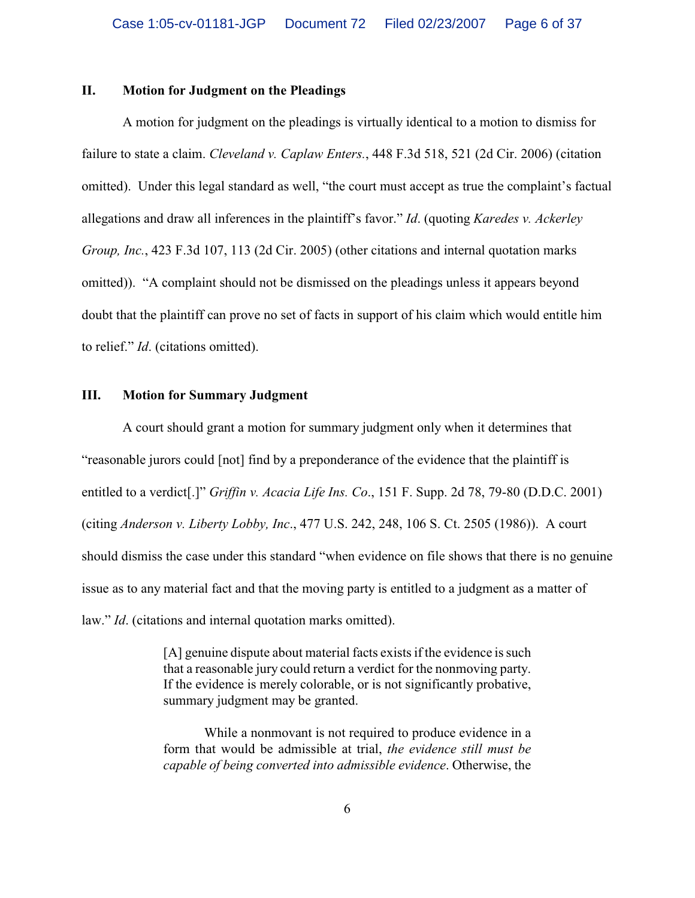### **II. Motion for Judgment on the Pleadings**

A motion for judgment on the pleadings is virtually identical to a motion to dismiss for failure to state a claim. *Cleveland v. Caplaw Enters.*, 448 F.3d 518, 521 (2d Cir. 2006) (citation omitted). Under this legal standard as well, "the court must accept as true the complaint's factual allegations and draw all inferences in the plaintiff's favor." *Id*. (quoting *Karedes v. Ackerley Group, Inc.*, 423 F.3d 107, 113 (2d Cir. 2005) (other citations and internal quotation marks omitted)). "A complaint should not be dismissed on the pleadings unless it appears beyond doubt that the plaintiff can prove no set of facts in support of his claim which would entitle him to relief." *Id*. (citations omitted).

## **III. Motion for Summary Judgment**

A court should grant a motion for summary judgment only when it determines that "reasonable jurors could [not] find by a preponderance of the evidence that the plaintiff is entitled to a verdict[.]" *Griffin v. Acacia Life Ins. Co*., 151 F. Supp. 2d 78, 79-80 (D.D.C. 2001) (citing *Anderson v. Liberty Lobby, Inc*., 477 U.S. 242, 248, 106 S. Ct. 2505 (1986)). A court should dismiss the case under this standard "when evidence on file shows that there is no genuine issue as to any material fact and that the moving party is entitled to a judgment as a matter of law." *Id*. (citations and internal quotation marks omitted).

> [A] genuine dispute about material facts exists if the evidence is such that a reasonable jury could return a verdict for the nonmoving party. If the evidence is merely colorable, or is not significantly probative, summary judgment may be granted.

> While a nonmovant is not required to produce evidence in a form that would be admissible at trial, *the evidence still must be capable of being converted into admissible evidence*. Otherwise, the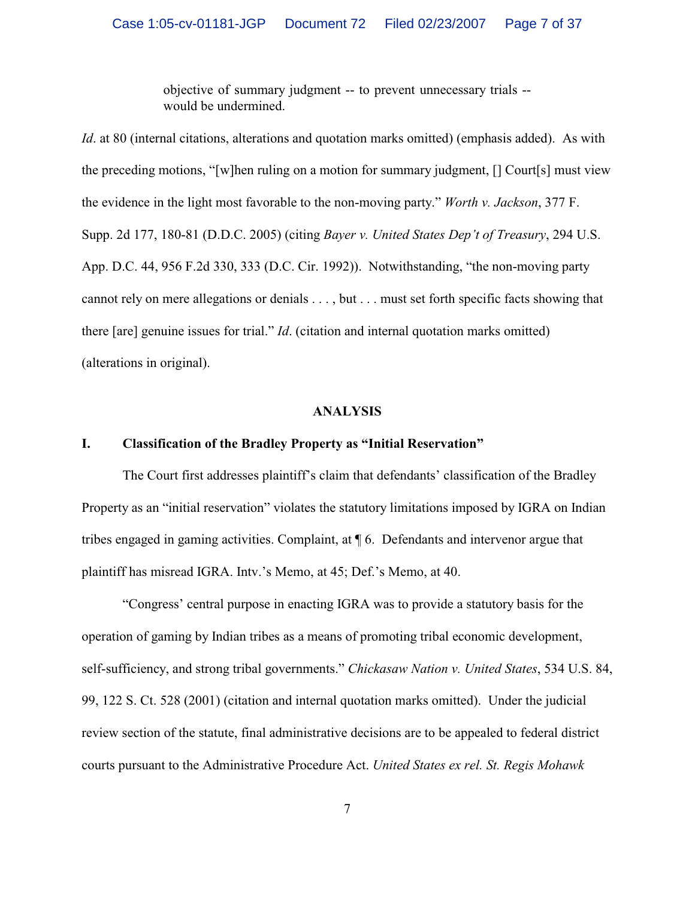objective of summary judgment -- to prevent unnecessary trials - would be undermined.

*Id*. at 80 (internal citations, alterations and quotation marks omitted) (emphasis added). As with the preceding motions, "[w]hen ruling on a motion for summary judgment, [] Court[s] must view the evidence in the light most favorable to the non-moving party." *Worth v. Jackson*, 377 F. Supp. 2d 177, 180-81 (D.D.C. 2005) (citing *Bayer v. United States Dep't of Treasury*, 294 U.S. App. D.C. 44, 956 F.2d 330, 333 (D.C. Cir. 1992)). Notwithstanding, "the non-moving party cannot rely on mere allegations or denials . . . , but . . . must set forth specific facts showing that there [are] genuine issues for trial." *Id*. (citation and internal quotation marks omitted) (alterations in original).

### **ANALYSIS**

## **I. Classification of the Bradley Property as "Initial Reservation"**

The Court first addresses plaintiff's claim that defendants' classification of the Bradley Property as an "initial reservation" violates the statutory limitations imposed by IGRA on Indian tribes engaged in gaming activities. Complaint, at ¶ 6. Defendants and intervenor argue that plaintiff has misread IGRA. Intv.'s Memo, at 45; Def.'s Memo, at 40.

"Congress' central purpose in enacting IGRA was to provide a statutory basis for the operation of gaming by Indian tribes as a means of promoting tribal economic development, self-sufficiency, and strong tribal governments." *Chickasaw Nation v. United States*, 534 U.S. 84, 99, 122 S. Ct. 528 (2001) (citation and internal quotation marks omitted). Under the judicial review section of the statute, final administrative decisions are to be appealed to federal district courts pursuant to the Administrative Procedure Act. *United States ex rel. St. Regis Mohawk*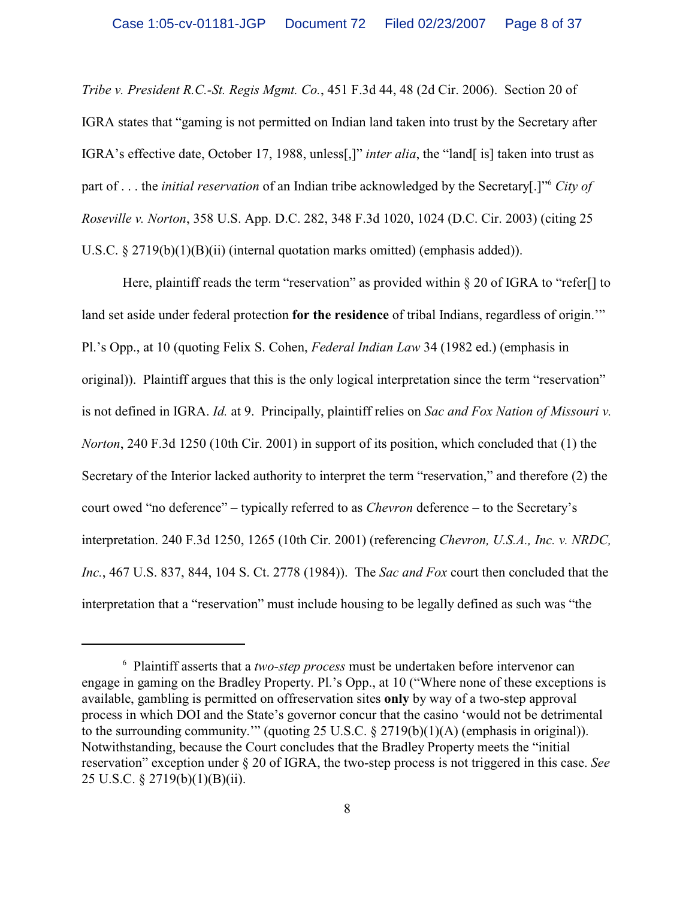*Tribe v. President R.C.-St. Regis Mgmt. Co.*, 451 F.3d 44, 48 (2d Cir. 2006). Section 20 of IGRA states that "gaming is not permitted on Indian land taken into trust by the Secretary after IGRA's effective date, October 17, 1988, unless[,]" *inter alia*, the "land[ is] taken into trust as part of . . . the *initial reservation* of an Indian tribe acknowledged by the Secretary[.]<sup>" *City of*</sup> *Roseville v. Norton*, 358 U.S. App. D.C. 282, 348 F.3d 1020, 1024 (D.C. Cir. 2003) (citing 25 U.S.C.  $\S 2719(b)(1)(B)(ii)$  (internal quotation marks omitted) (emphasis added)).

Here, plaintiff reads the term "reservation" as provided within  $\S 20$  of IGRA to "refer. If to land set aside under federal protection **for the residence** of tribal Indians, regardless of origin.'" Pl.'s Opp., at 10 (quoting Felix S. Cohen, *Federal Indian Law* 34 (1982 ed.) (emphasis in original)). Plaintiff argues that this is the only logical interpretation since the term "reservation" is not defined in IGRA. *Id.* at 9. Principally, plaintiff relies on *Sac and Fox Nation of Missouri v. Norton*, 240 F.3d 1250 (10th Cir. 2001) in support of its position, which concluded that (1) the Secretary of the Interior lacked authority to interpret the term "reservation," and therefore (2) the court owed "no deference" – typically referred to as *Chevron* deference – to the Secretary's interpretation. 240 F.3d 1250, 1265 (10th Cir. 2001) (referencing *Chevron, U.S.A., Inc. v. NRDC, Inc.*, 467 U.S. 837, 844, 104 S. Ct. 2778 (1984)). The *Sac and Fox* court then concluded that the interpretation that a "reservation" must include housing to be legally defined as such was "the

<sup>&</sup>lt;sup>6</sup> Plaintiff asserts that a *two-step process* must be undertaken before intervenor can engage in gaming on the Bradley Property. Pl.'s Opp., at 10 ("Where none of these exceptions is available, gambling is permitted on offreservation sites **only** by way of a two-step approval process in which DOI and the State's governor concur that the casino 'would not be detrimental to the surrounding community.'" (quoting 25 U.S.C. § 2719(b)(1)(A) (emphasis in original)). Notwithstanding, because the Court concludes that the Bradley Property meets the "initial reservation" exception under § 20 of IGRA, the two-step process is not triggered in this case. *See* 25 U.S.C. § 2719(b)(1)(B)(ii).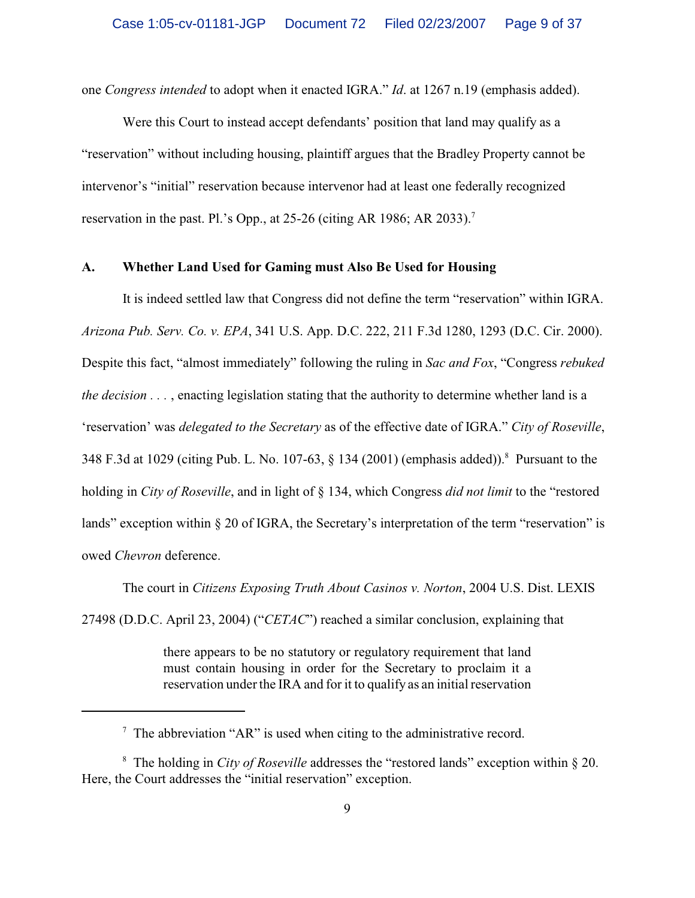one *Congress intended* to adopt when it enacted IGRA." *Id*. at 1267 n.19 (emphasis added).

Were this Court to instead accept defendants' position that land may qualify as a "reservation" without including housing, plaintiff argues that the Bradley Property cannot be intervenor's "initial" reservation because intervenor had at least one federally recognized reservation in the past. Pl.'s Opp., at 25-26 (citing AR 1986; AR 2033).<sup>7</sup>

#### **A. Whether Land Used for Gaming must Also Be Used for Housing**

It is indeed settled law that Congress did not define the term "reservation" within IGRA. *Arizona Pub. Serv. Co. v. EPA*, 341 U.S. App. D.C. 222, 211 F.3d 1280, 1293 (D.C. Cir. 2000). Despite this fact, "almost immediately" following the ruling in *Sac and Fox*, "Congress *rebuked the decision . . .* , enacting legislation stating that the authority to determine whether land is a 'reservation' was *delegated to the Secretary* as of the effective date of IGRA." *City of Roseville*, 348 F.3d at 1029 (citing Pub. L. No. 107-63, § 134 (2001) (emphasis added)). Pursuant to the <sup>8</sup> holding in *City of Roseville*, and in light of § 134, which Congress *did not limit* to the "restored lands" exception within § 20 of IGRA, the Secretary's interpretation of the term "reservation" is owed *Chevron* deference.

The court in *Citizens Exposing Truth About Casinos v. Norton*, 2004 U.S. Dist. LEXIS 27498 (D.D.C. April 23, 2004) ("*CETAC*") reached a similar conclusion, explaining that

> there appears to be no statutory or regulatory requirement that land must contain housing in order for the Secretary to proclaim it a reservation under the IRA and for it to qualify as an initial reservation

 $\alpha$ <sup>7</sup> The abbreviation "AR" is used when citing to the administrative record.

<sup>&</sup>lt;sup>8</sup> The holding in *City of Roseville* addresses the "restored lands" exception within  $\S$  20. Here, the Court addresses the "initial reservation" exception.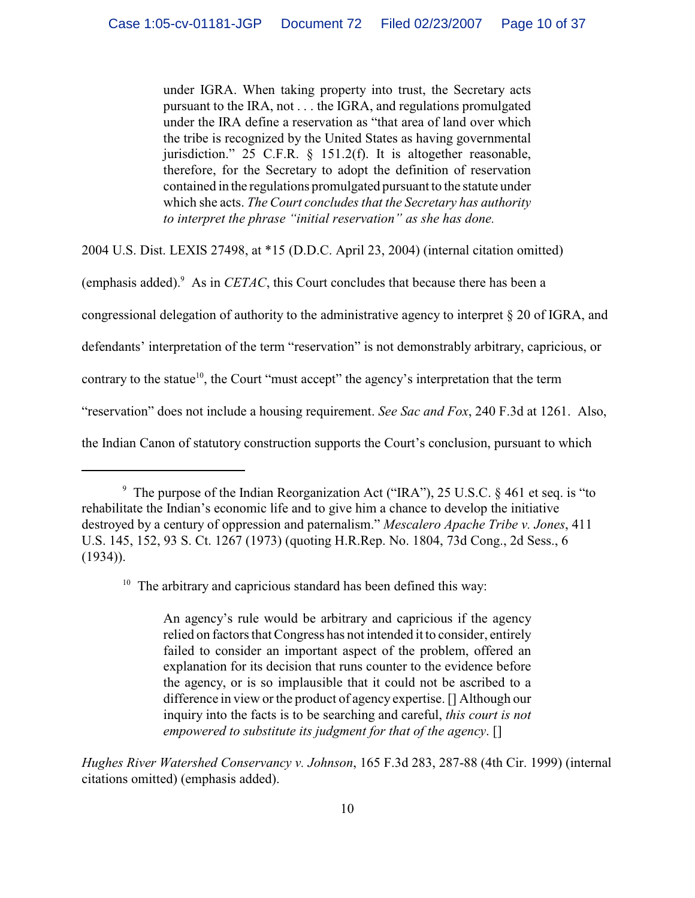under IGRA. When taking property into trust, the Secretary acts pursuant to the IRA, not . . . the IGRA, and regulations promulgated under the IRA define a reservation as "that area of land over which the tribe is recognized by the United States as having governmental jurisdiction." 25 C.F.R. § 151.2(f). It is altogether reasonable, therefore, for the Secretary to adopt the definition of reservation contained in the regulations promulgated pursuant to the statute under which she acts. *The Court concludes that the Secretary has authority to interpret the phrase "initial reservation" as she has done.*

2004 U.S. Dist. LEXIS 27498, at \*15 (D.D.C. April 23, 2004) (internal citation omitted)

(emphasis added). $9$  As in *CETAC*, this Court concludes that because there has been a

congressional delegation of authority to the administrative agency to interpret § 20 of IGRA, and

defendants' interpretation of the term "reservation" is not demonstrably arbitrary, capricious, or

contrary to the statue<sup>10</sup>, the Court "must accept" the agency's interpretation that the term

"reservation" does not include a housing requirement. *See Sac and Fox*, 240 F.3d at 1261. Also,

the Indian Canon of statutory construction supports the Court's conclusion, pursuant to which

*Hughes River Watershed Conservancy v. Johnson*, 165 F.3d 283, 287-88 (4th Cir. 1999) (internal citations omitted) (emphasis added).

 $\degree$  The purpose of the Indian Reorganization Act ("IRA"), 25 U.S.C. § 461 et seq. is "to rehabilitate the Indian's economic life and to give him a chance to develop the initiative destroyed by a century of oppression and paternalism." *Mescalero Apache Tribe v. Jones*, 411 U.S. 145, 152, 93 S. Ct. 1267 (1973) (quoting H.R.Rep. No. 1804, 73d Cong., 2d Sess., 6 (1934)).

 $10$  The arbitrary and capricious standard has been defined this way:

An agency's rule would be arbitrary and capricious if the agency relied on factors that Congress has not intended it to consider, entirely failed to consider an important aspect of the problem, offered an explanation for its decision that runs counter to the evidence before the agency, or is so implausible that it could not be ascribed to a difference in view or the product of agency expertise. [] Although our inquiry into the facts is to be searching and careful, *this court is not empowered to substitute its judgment for that of the agency*. []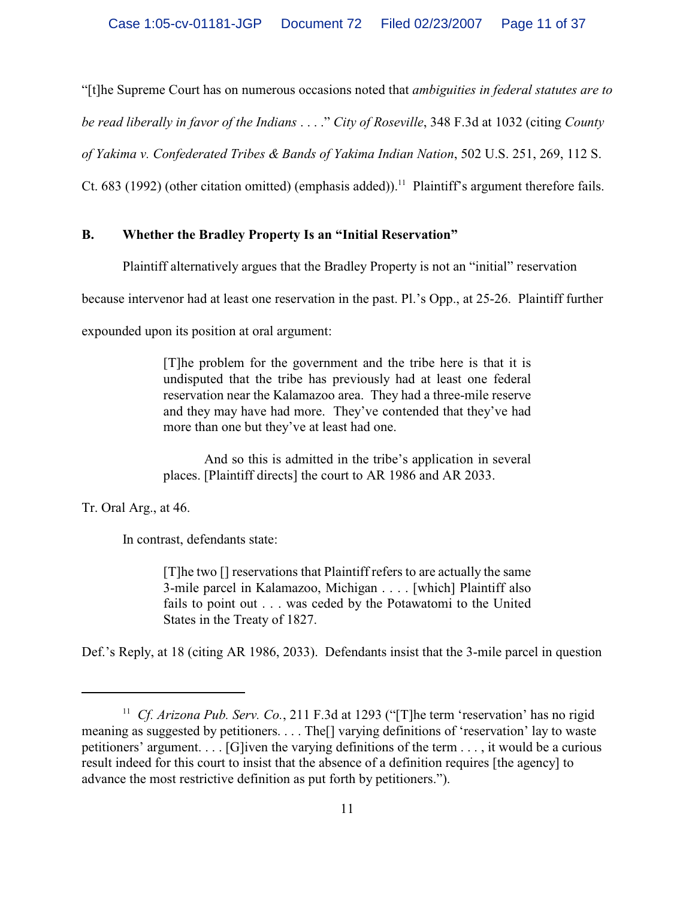"[t]he Supreme Court has on numerous occasions noted that *ambiguities in federal statutes are to*

*be read liberally in favor of the Indians* . . . ." *City of Roseville*, 348 F.3d at 1032 (citing *County*

*of Yakima v. Confederated Tribes & Bands of Yakima Indian Nation*, 502 U.S. 251, 269, 112 S.

Ct. 683 (1992) (other citation omitted) (emphasis added)).<sup>11</sup> Plaintiff's argument therefore fails.

# **B. Whether the Bradley Property Is an "Initial Reservation"**

Plaintiff alternatively argues that the Bradley Property is not an "initial" reservation

because intervenor had at least one reservation in the past. Pl.'s Opp., at 25-26. Plaintiff further

expounded upon its position at oral argument:

[T]he problem for the government and the tribe here is that it is undisputed that the tribe has previously had at least one federal reservation near the Kalamazoo area. They had a three-mile reserve and they may have had more. They've contended that they've had more than one but they've at least had one.

And so this is admitted in the tribe's application in several places. [Plaintiff directs] the court to AR 1986 and AR 2033.

Tr. Oral Arg., at 46.

In contrast, defendants state:

[T]he two [] reservations that Plaintiff refers to are actually the same 3-mile parcel in Kalamazoo, Michigan . . . . [which] Plaintiff also fails to point out . . . was ceded by the Potawatomi to the United States in the Treaty of 1827.

Def.'s Reply, at 18 (citing AR 1986, 2033). Defendants insist that the 3-mile parcel in question

<sup>&</sup>lt;sup>11</sup> Cf. Arizona Pub. Serv. Co., 211 F.3d at 1293 ("[T]he term 'reservation' has no rigid meaning as suggested by petitioners. . . . The[] varying definitions of 'reservation' lay to waste petitioners' argument. . . . [G]iven the varying definitions of the term . . . , it would be a curious result indeed for this court to insist that the absence of a definition requires [the agency] to advance the most restrictive definition as put forth by petitioners.").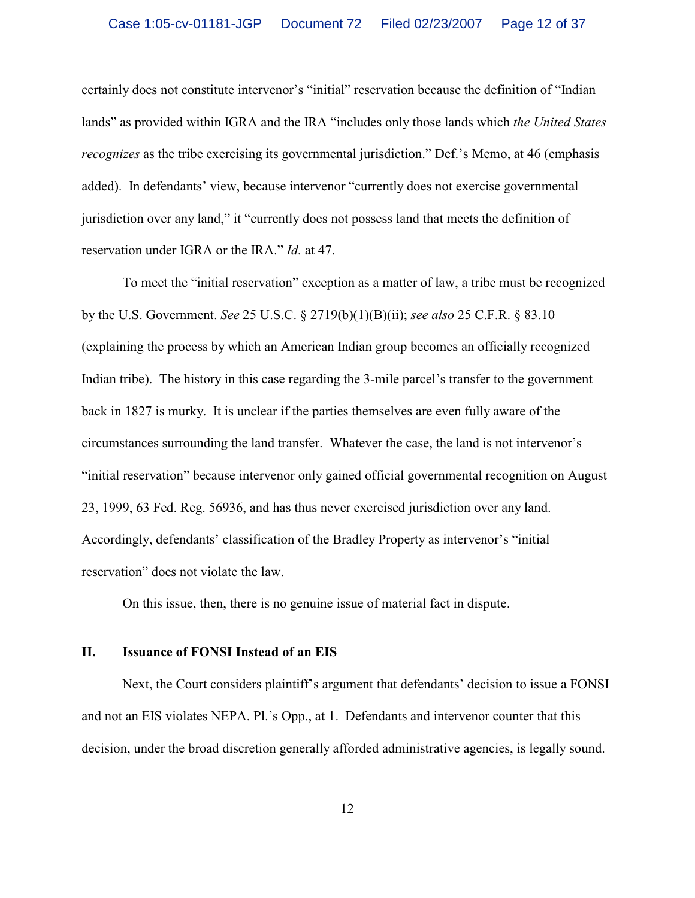certainly does not constitute intervenor's "initial" reservation because the definition of "Indian lands" as provided within IGRA and the IRA "includes only those lands which *the United States recognizes* as the tribe exercising its governmental jurisdiction." Def.'s Memo, at 46 (emphasis added). In defendants' view, because intervenor "currently does not exercise governmental jurisdiction over any land," it "currently does not possess land that meets the definition of reservation under IGRA or the IRA." *Id.* at 47.

To meet the "initial reservation" exception as a matter of law, a tribe must be recognized by the U.S. Government. *See* 25 U.S.C. § 2719(b)(1)(B)(ii); *see also* 25 C.F.R. § 83.10 (explaining the process by which an American Indian group becomes an officially recognized Indian tribe). The history in this case regarding the 3-mile parcel's transfer to the government back in 1827 is murky. It is unclear if the parties themselves are even fully aware of the circumstances surrounding the land transfer. Whatever the case, the land is not intervenor's "initial reservation" because intervenor only gained official governmental recognition on August 23, 1999, 63 Fed. Reg. 56936, and has thus never exercised jurisdiction over any land. Accordingly, defendants' classification of the Bradley Property as intervenor's "initial reservation" does not violate the law.

On this issue, then, there is no genuine issue of material fact in dispute.

## **II. Issuance of FONSI Instead of an EIS**

Next, the Court considers plaintiff's argument that defendants' decision to issue a FONSI and not an EIS violates NEPA. Pl.'s Opp., at 1. Defendants and intervenor counter that this decision, under the broad discretion generally afforded administrative agencies, is legally sound.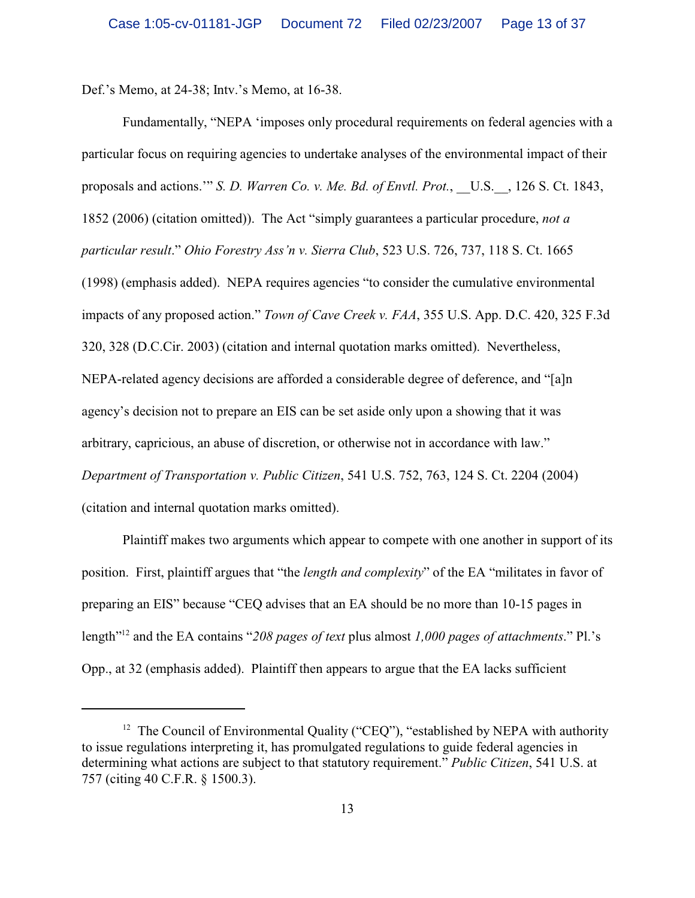Def.'s Memo, at 24-38; Intv.'s Memo, at 16-38.

Fundamentally, "NEPA 'imposes only procedural requirements on federal agencies with a particular focus on requiring agencies to undertake analyses of the environmental impact of their proposals and actions." *S. D. Warren Co. v. Me. Bd. of Envtl. Prot.*, U.S., 126 S. Ct. 1843, 1852 (2006) (citation omitted)). The Act "simply guarantees a particular procedure, *not a particular result*." *Ohio Forestry Ass'n v. Sierra Club*, 523 U.S. 726, 737, 118 S. Ct. 1665 (1998) (emphasis added). NEPA requires agencies "to consider the cumulative environmental impacts of any proposed action." *Town of Cave Creek v. FAA*, 355 U.S. App. D.C. 420, 325 F.3d 320, 328 (D.C.Cir. 2003) (citation and internal quotation marks omitted). Nevertheless, NEPA-related agency decisions are afforded a considerable degree of deference, and "[a]n agency's decision not to prepare an EIS can be set aside only upon a showing that it was arbitrary, capricious, an abuse of discretion, or otherwise not in accordance with law." *Department of Transportation v. Public Citizen*, 541 U.S. 752, 763, 124 S. Ct. 2204 (2004) (citation and internal quotation marks omitted).

Plaintiff makes two arguments which appear to compete with one another in support of its position. First, plaintiff argues that "the *length and complexity*" of the EA "militates in favor of preparing an EIS" because "CEQ advises that an EA should be no more than 10-15 pages in length<sup>"12</sup> and the EA contains "208 pages of text plus almost 1,000 pages of attachments." Pl.'s Opp., at 32 (emphasis added). Plaintiff then appears to argue that the EA lacks sufficient

<sup>&</sup>lt;sup>12</sup> The Council of Environmental Quality ("CEQ"), "established by NEPA with authority to issue regulations interpreting it, has promulgated regulations to guide federal agencies in determining what actions are subject to that statutory requirement." *Public Citizen*, 541 U.S. at 757 (citing 40 C.F.R. § 1500.3).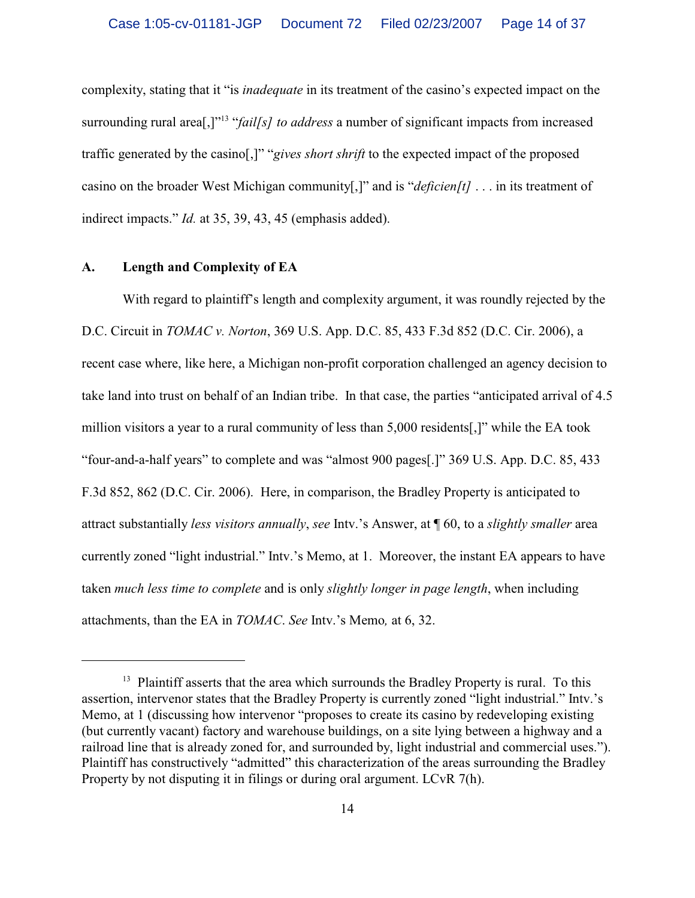complexity, stating that it "is *inadequate* in its treatment of the casino's expected impact on the surrounding rural area<sup>[,]"<sup>13</sup> "*fail[s] to address* a number of significant impacts from increased</sup> traffic generated by the casino[,]" "*gives short shrift* to the expected impact of the proposed casino on the broader West Michigan community[,]" and is "*deficien[t]* . . . in its treatment of indirect impacts." *Id.* at 35, 39, 43, 45 (emphasis added).

#### **A. Length and Complexity of EA**

With regard to plaintiff's length and complexity argument, it was roundly rejected by the D.C. Circuit in *TOMAC v. Norton*, 369 U.S. App. D.C. 85, 433 F.3d 852 (D.C. Cir. 2006), a recent case where, like here, a Michigan non-profit corporation challenged an agency decision to take land into trust on behalf of an Indian tribe. In that case, the parties "anticipated arrival of 4.5 million visitors a year to a rural community of less than 5,000 residents[,]" while the EA took "four-and-a-half years" to complete and was "almost 900 pages[.]" 369 U.S. App. D.C. 85, 433 F.3d 852, 862 (D.C. Cir. 2006). Here, in comparison, the Bradley Property is anticipated to attract substantially *less visitors annually*, *see* Intv.'s Answer, at ¶ 60, to a *slightly smaller* area currently zoned "light industrial." Intv.'s Memo, at 1. Moreover, the instant EA appears to have taken *much less time to complete* and is only *slightly longer in page length*, when including attachments, than the EA in *TOMAC*. *See* Intv.'s Memo*,* at 6, 32.

 $13$  Plaintiff asserts that the area which surrounds the Bradley Property is rural. To this assertion, intervenor states that the Bradley Property is currently zoned "light industrial." Intv.'s Memo, at 1 (discussing how intervenor "proposes to create its casino by redeveloping existing (but currently vacant) factory and warehouse buildings, on a site lying between a highway and a railroad line that is already zoned for, and surrounded by, light industrial and commercial uses."). Plaintiff has constructively "admitted" this characterization of the areas surrounding the Bradley Property by not disputing it in filings or during oral argument. LCvR 7(h).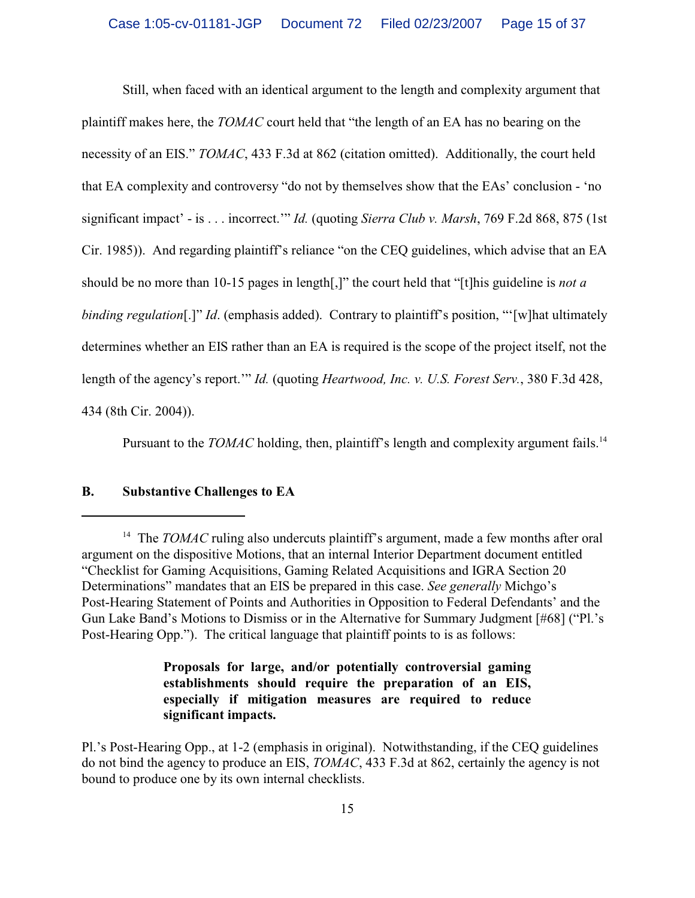Still, when faced with an identical argument to the length and complexity argument that plaintiff makes here, the *TOMAC* court held that "the length of an EA has no bearing on the necessity of an EIS." *TOMAC*, 433 F.3d at 862 (citation omitted). Additionally, the court held that EA complexity and controversy "do not by themselves show that the EAs' conclusion - 'no significant impact' - is . . . incorrect.'" *Id.* (quoting *Sierra Club v. Marsh*, 769 F.2d 868, 875 (1st Cir. 1985)). And regarding plaintiff's reliance "on the CEQ guidelines, which advise that an EA should be no more than 10-15 pages in length[,]" the court held that "[t]his guideline is *not a binding regulation*[.]" *Id.* (emphasis added). Contrary to plaintiff's position, "'[w]hat ultimately determines whether an EIS rather than an EA is required is the scope of the project itself, not the length of the agency's report.'" *Id.* (quoting *Heartwood, Inc. v. U.S. Forest Serv.*, 380 F.3d 428, 434 (8th Cir. 2004)).

Pursuant to the *TOMAC* holding, then, plaintiff's length and complexity argument fails.<sup>14</sup>

# **B. Substantive Challenges to EA**

**Proposals for large, and/or potentially controversial gaming establishments should require the preparation of an EIS, especially if mitigation measures are required to reduce significant impacts.**

Pl.'s Post-Hearing Opp., at 1-2 (emphasis in original). Notwithstanding, if the CEQ guidelines do not bind the agency to produce an EIS, *TOMAC*, 433 F.3d at 862, certainly the agency is not bound to produce one by its own internal checklists.

<sup>&</sup>lt;sup>14</sup> The *TOMAC* ruling also undercuts plaintiff's argument, made a few months after oral argument on the dispositive Motions, that an internal Interior Department document entitled "Checklist for Gaming Acquisitions, Gaming Related Acquisitions and IGRA Section 20 Determinations" mandates that an EIS be prepared in this case. *See generally* Michgo's Post-Hearing Statement of Points and Authorities in Opposition to Federal Defendants' and the Gun Lake Band's Motions to Dismiss or in the Alternative for Summary Judgment [#68] ("Pl.'s Post-Hearing Opp."). The critical language that plaintiff points to is as follows: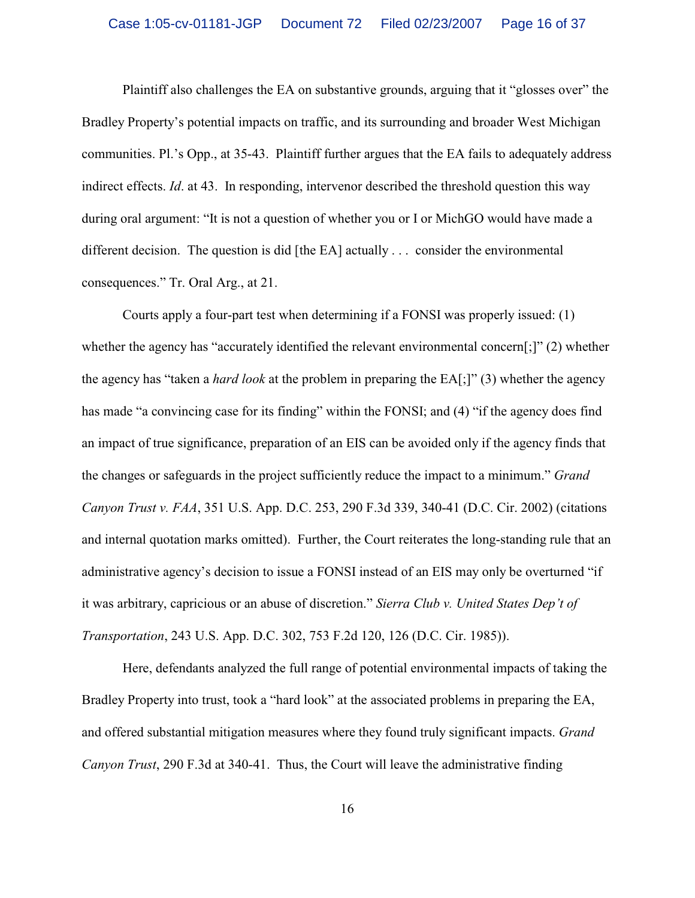Plaintiff also challenges the EA on substantive grounds, arguing that it "glosses over" the Bradley Property's potential impacts on traffic, and its surrounding and broader West Michigan communities. Pl.'s Opp., at 35-43. Plaintiff further argues that the EA fails to adequately address indirect effects. *Id*. at 43. In responding, intervenor described the threshold question this way during oral argument: "It is not a question of whether you or I or MichGO would have made a different decision. The question is did [the EA] actually . . . consider the environmental consequences." Tr. Oral Arg., at 21.

Courts apply a four-part test when determining if a FONSI was properly issued: (1) whether the agency has "accurately identified the relevant environmental concern[;]" (2) whether the agency has "taken a *hard look* at the problem in preparing the EA[;]" (3) whether the agency has made "a convincing case for its finding" within the FONSI; and (4) "if the agency does find an impact of true significance, preparation of an EIS can be avoided only if the agency finds that the changes or safeguards in the project sufficiently reduce the impact to a minimum." *Grand Canyon Trust v. FAA*, 351 U.S. App. D.C. 253, 290 F.3d 339, 340-41 (D.C. Cir. 2002) (citations and internal quotation marks omitted). Further, the Court reiterates the long-standing rule that an administrative agency's decision to issue a FONSI instead of an EIS may only be overturned "if it was arbitrary, capricious or an abuse of discretion." *Sierra Club v. United States Dep't of Transportation*, 243 U.S. App. D.C. 302, 753 F.2d 120, 126 (D.C. Cir. 1985)).

Here, defendants analyzed the full range of potential environmental impacts of taking the Bradley Property into trust, took a "hard look" at the associated problems in preparing the EA, and offered substantial mitigation measures where they found truly significant impacts. *Grand Canyon Trust*, 290 F.3d at 340-41. Thus, the Court will leave the administrative finding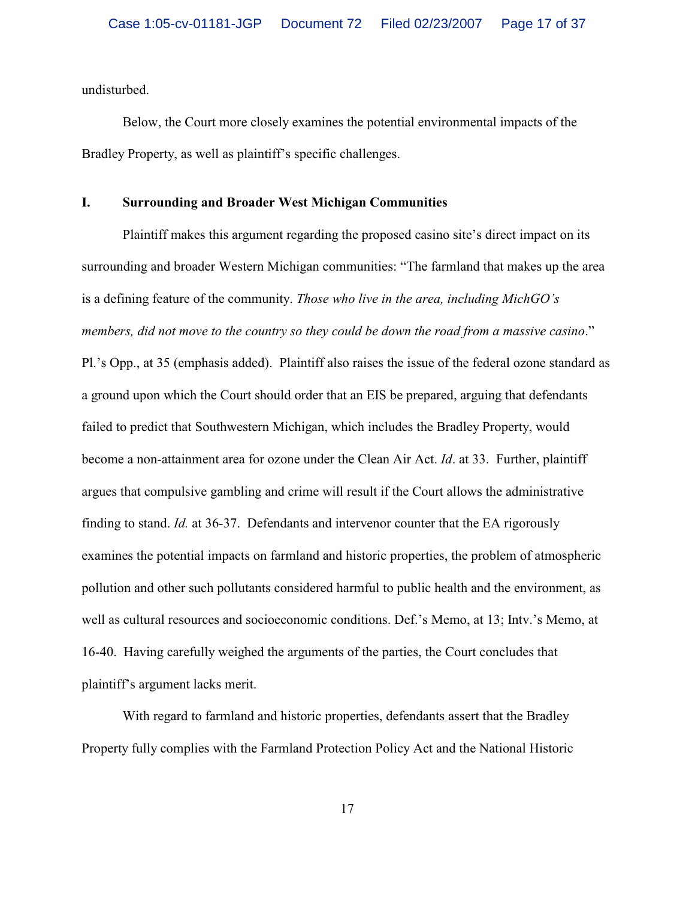undisturbed.

Below, the Court more closely examines the potential environmental impacts of the Bradley Property, as well as plaintiff's specific challenges.

## **I. Surrounding and Broader West Michigan Communities**

Plaintiff makes this argument regarding the proposed casino site's direct impact on its surrounding and broader Western Michigan communities: "The farmland that makes up the area is a defining feature of the community. *Those who live in the area, including MichGO's members, did not move to the country so they could be down the road from a massive casino*."

Pl.'s Opp., at 35 (emphasis added). Plaintiff also raises the issue of the federal ozone standard as a ground upon which the Court should order that an EIS be prepared, arguing that defendants failed to predict that Southwestern Michigan, which includes the Bradley Property, would become a non-attainment area for ozone under the Clean Air Act. *Id*. at 33. Further, plaintiff argues that compulsive gambling and crime will result if the Court allows the administrative finding to stand. *Id.* at 36-37. Defendants and intervenor counter that the EA rigorously examines the potential impacts on farmland and historic properties, the problem of atmospheric pollution and other such pollutants considered harmful to public health and the environment, as well as cultural resources and socioeconomic conditions. Def.'s Memo, at 13; Intv.'s Memo, at 16-40. Having carefully weighed the arguments of the parties, the Court concludes that plaintiff's argument lacks merit.

With regard to farmland and historic properties, defendants assert that the Bradley Property fully complies with the Farmland Protection Policy Act and the National Historic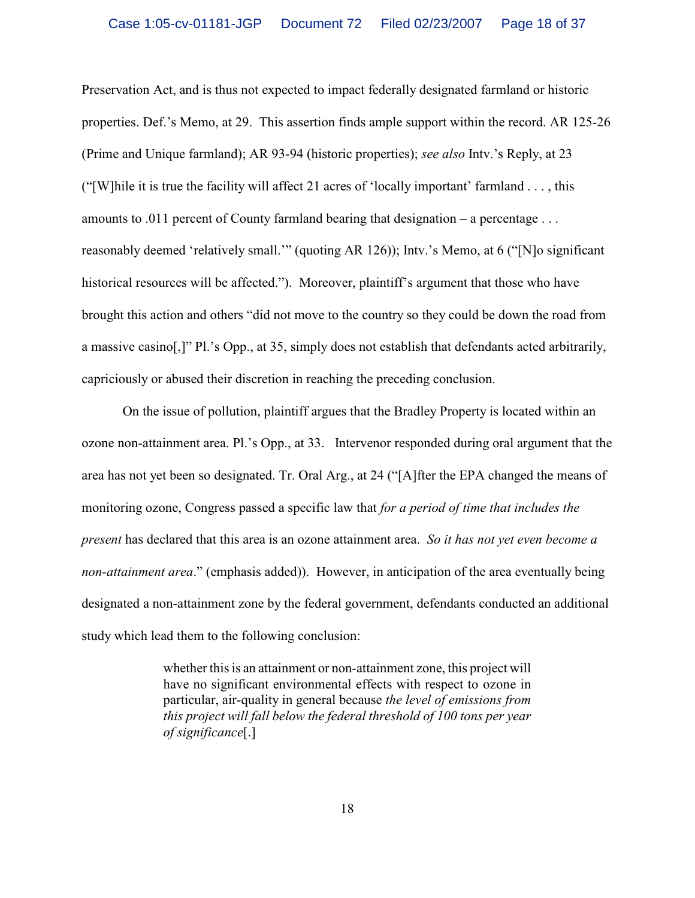Preservation Act, and is thus not expected to impact federally designated farmland or historic properties. Def.'s Memo, at 29. This assertion finds ample support within the record. AR 125-26 (Prime and Unique farmland); AR 93-94 (historic properties); *see also* Intv.'s Reply, at 23 ("[W]hile it is true the facility will affect 21 acres of 'locally important' farmland . . . , this amounts to .011 percent of County farmland bearing that designation – a percentage . . . reasonably deemed 'relatively small.'" (quoting AR 126)); Intv.'s Memo, at 6 ("[N]o significant historical resources will be affected."). Moreover, plaintiff's argument that those who have brought this action and others "did not move to the country so they could be down the road from a massive casino[,]" Pl.'s Opp., at 35, simply does not establish that defendants acted arbitrarily, capriciously or abused their discretion in reaching the preceding conclusion.

On the issue of pollution, plaintiff argues that the Bradley Property is located within an ozone non-attainment area. Pl.'s Opp., at 33. Intervenor responded during oral argument that the area has not yet been so designated. Tr. Oral Arg., at 24 ("[A]fter the EPA changed the means of monitoring ozone, Congress passed a specific law that *for a period of time that includes the present* has declared that this area is an ozone attainment area. *So it has not yet even become a non-attainment area*." (emphasis added)). However, in anticipation of the area eventually being designated a non-attainment zone by the federal government, defendants conducted an additional study which lead them to the following conclusion:

> whether this is an attainment or non-attainment zone, this project will have no significant environmental effects with respect to ozone in particular, air-quality in general because *the level of emissions from this project will fall below the federal threshold of 100 tons per year of significance*[.]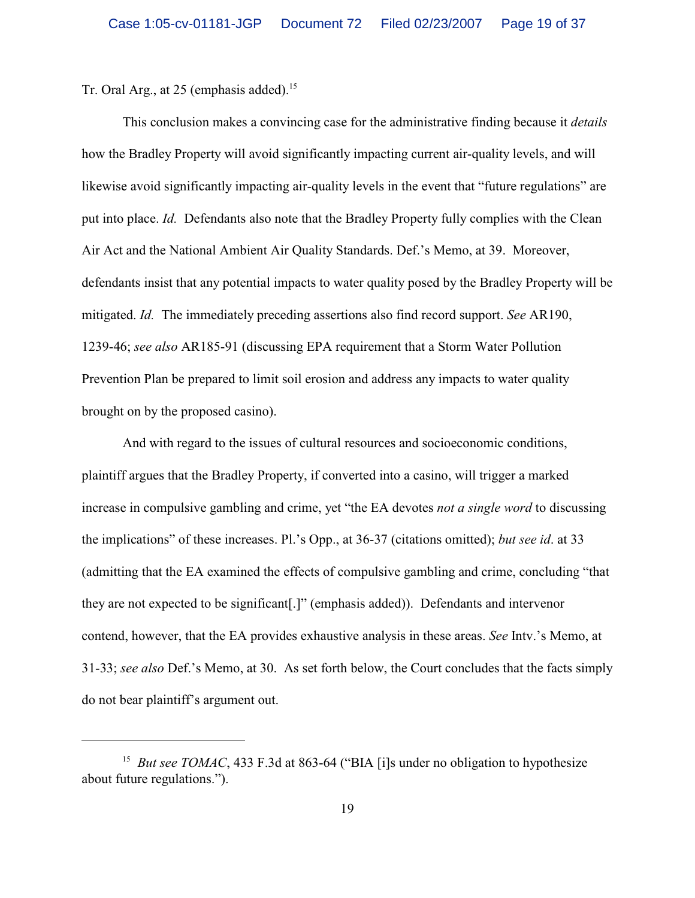Tr. Oral Arg., at 25 (emphasis added).<sup>15</sup>

This conclusion makes a convincing case for the administrative finding because it *details* how the Bradley Property will avoid significantly impacting current air-quality levels, and will likewise avoid significantly impacting air-quality levels in the event that "future regulations" are put into place. *Id.* Defendants also note that the Bradley Property fully complies with the Clean Air Act and the National Ambient Air Quality Standards. Def.'s Memo, at 39. Moreover, defendants insist that any potential impacts to water quality posed by the Bradley Property will be mitigated. *Id.* The immediately preceding assertions also find record support. *See* AR190, 1239-46; *see also* AR185-91 (discussing EPA requirement that a Storm Water Pollution Prevention Plan be prepared to limit soil erosion and address any impacts to water quality brought on by the proposed casino).

And with regard to the issues of cultural resources and socioeconomic conditions, plaintiff argues that the Bradley Property, if converted into a casino, will trigger a marked increase in compulsive gambling and crime, yet "the EA devotes *not a single word* to discussing the implications" of these increases. Pl.'s Opp., at 36-37 (citations omitted); *but see id*. at 33 (admitting that the EA examined the effects of compulsive gambling and crime, concluding "that they are not expected to be significant[.]" (emphasis added)). Defendants and intervenor contend, however, that the EA provides exhaustive analysis in these areas. *See* Intv.'s Memo, at 31-33; *see also* Def.'s Memo, at 30. As set forth below, the Court concludes that the facts simply do not bear plaintiff's argument out.

<sup>&</sup>lt;sup>15</sup> But see TOMAC, 433 F.3d at 863-64 ("BIA [i]s under no obligation to hypothesize about future regulations.").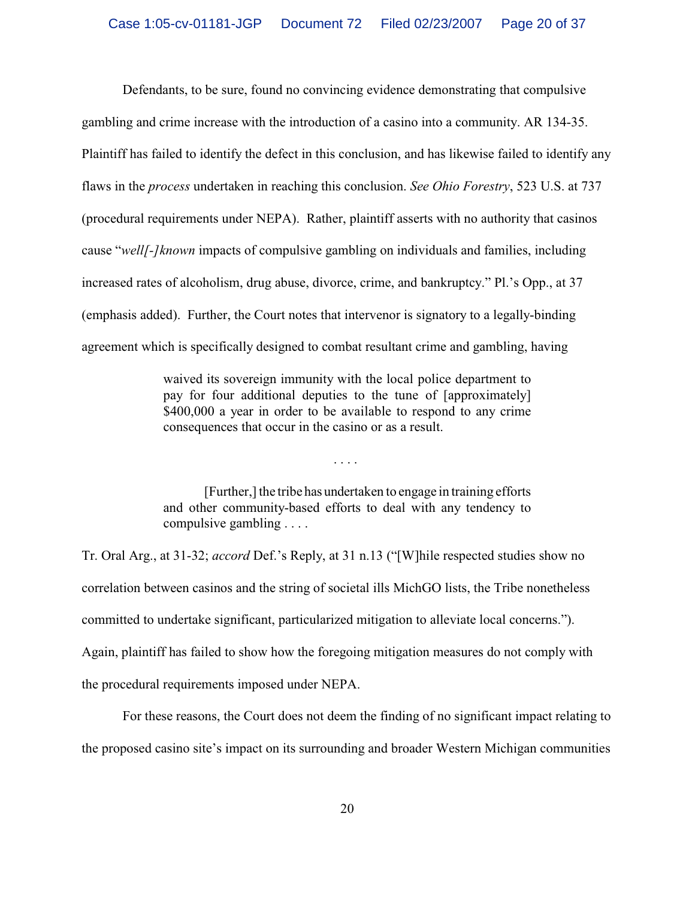Defendants, to be sure, found no convincing evidence demonstrating that compulsive gambling and crime increase with the introduction of a casino into a community. AR 134-35. Plaintiff has failed to identify the defect in this conclusion, and has likewise failed to identify any flaws in the *process* undertaken in reaching this conclusion. *See Ohio Forestry*, 523 U.S. at 737 (procedural requirements under NEPA). Rather, plaintiff asserts with no authority that casinos cause "*well[-]known* impacts of compulsive gambling on individuals and families, including increased rates of alcoholism, drug abuse, divorce, crime, and bankruptcy." Pl.'s Opp., at 37 (emphasis added). Further, the Court notes that intervenor is signatory to a legally-binding agreement which is specifically designed to combat resultant crime and gambling, having

> waived its sovereign immunity with the local police department to pay for four additional deputies to the tune of [approximately] \$400,000 a year in order to be available to respond to any crime consequences that occur in the casino or as a result.

> [Further,] the tribe has undertaken to engage in training efforts and other community-based efforts to deal with any tendency to compulsive gambling . . . .

. . . .

Tr. Oral Arg., at 31-32; *accord* Def.'s Reply, at 31 n.13 ("[W]hile respected studies show no correlation between casinos and the string of societal ills MichGO lists, the Tribe nonetheless committed to undertake significant, particularized mitigation to alleviate local concerns."). Again, plaintiff has failed to show how the foregoing mitigation measures do not comply with the procedural requirements imposed under NEPA.

For these reasons, the Court does not deem the finding of no significant impact relating to the proposed casino site's impact on its surrounding and broader Western Michigan communities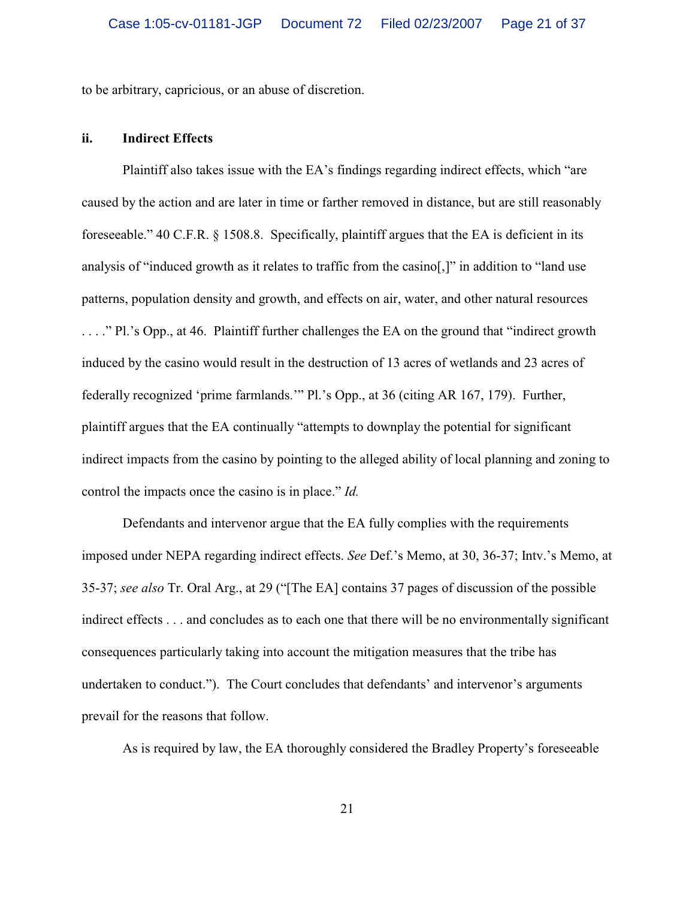to be arbitrary, capricious, or an abuse of discretion.

### **ii. Indirect Effects**

Plaintiff also takes issue with the EA's findings regarding indirect effects, which "are caused by the action and are later in time or farther removed in distance, but are still reasonably foreseeable." 40 C.F.R. § 1508.8. Specifically, plaintiff argues that the EA is deficient in its analysis of "induced growth as it relates to traffic from the casino[,]" in addition to "land use patterns, population density and growth, and effects on air, water, and other natural resources . . . ." Pl.'s Opp., at 46. Plaintiff further challenges the EA on the ground that "indirect growth induced by the casino would result in the destruction of 13 acres of wetlands and 23 acres of federally recognized 'prime farmlands.'" Pl.'s Opp., at 36 (citing AR 167, 179). Further, plaintiff argues that the EA continually "attempts to downplay the potential for significant indirect impacts from the casino by pointing to the alleged ability of local planning and zoning to control the impacts once the casino is in place." *Id.*

Defendants and intervenor argue that the EA fully complies with the requirements imposed under NEPA regarding indirect effects. *See* Def.'s Memo, at 30, 36-37; Intv.'s Memo, at 35-37; *see also* Tr. Oral Arg., at 29 ("[The EA] contains 37 pages of discussion of the possible indirect effects . . . and concludes as to each one that there will be no environmentally significant consequences particularly taking into account the mitigation measures that the tribe has undertaken to conduct."). The Court concludes that defendants' and intervenor's arguments prevail for the reasons that follow.

As is required by law, the EA thoroughly considered the Bradley Property's foreseeable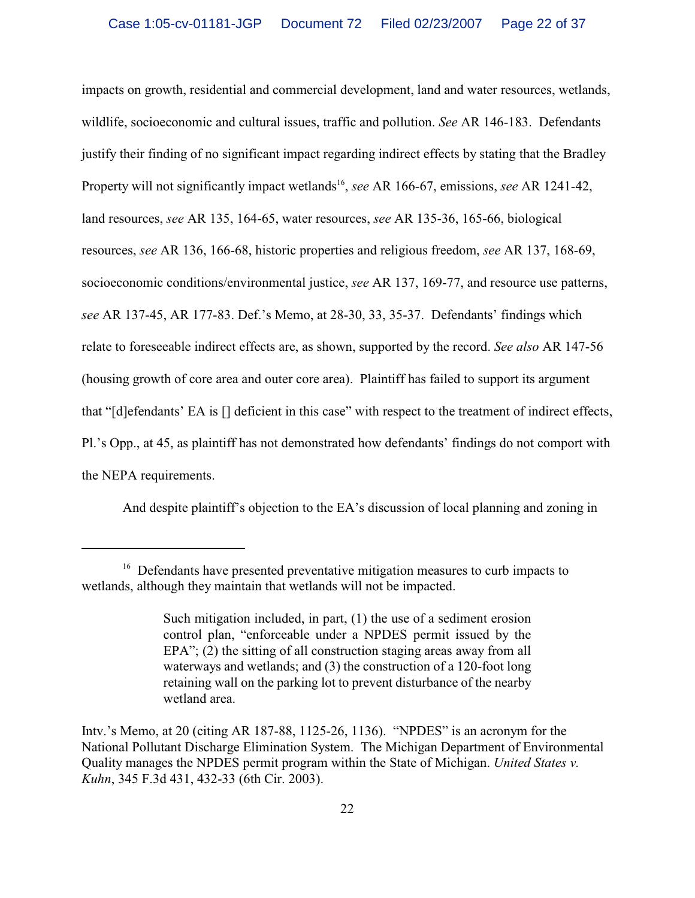impacts on growth, residential and commercial development, land and water resources, wetlands, wildlife, socioeconomic and cultural issues, traffic and pollution. *See* AR 146-183. Defendants justify their finding of no significant impact regarding indirect effects by stating that the Bradley Property will not significantly impact wetlands<sup>16</sup>, *see* AR 166-67, emissions, *see* AR 1241-42, land resources, *see* AR 135, 164-65, water resources, *see* AR 135-36, 165-66, biological resources, *see* AR 136, 166-68, historic properties and religious freedom, *see* AR 137, 168-69, socioeconomic conditions/environmental justice, *see* AR 137, 169-77, and resource use patterns, *see* AR 137-45, AR 177-83. Def.'s Memo, at 28-30, 33, 35-37. Defendants' findings which relate to foreseeable indirect effects are, as shown, supported by the record. *See also* AR 147-56 (housing growth of core area and outer core area). Plaintiff has failed to support its argument that "[d]efendants' EA is [] deficient in this case" with respect to the treatment of indirect effects, Pl.'s Opp., at 45, as plaintiff has not demonstrated how defendants' findings do not comport with the NEPA requirements.

And despite plaintiff's objection to the EA's discussion of local planning and zoning in

<sup>&</sup>lt;sup>16</sup> Defendants have presented preventative mitigation measures to curb impacts to wetlands, although they maintain that wetlands will not be impacted.

Such mitigation included, in part, (1) the use of a sediment erosion control plan, "enforceable under a NPDES permit issued by the EPA"; (2) the sitting of all construction staging areas away from all waterways and wetlands; and (3) the construction of a 120-foot long retaining wall on the parking lot to prevent disturbance of the nearby wetland area.

Intv.'s Memo, at 20 (citing AR 187-88, 1125-26, 1136). "NPDES" is an acronym for the National Pollutant Discharge Elimination System. The Michigan Department of Environmental Quality manages the NPDES permit program within the State of Michigan. *United States v. Kuhn*, 345 F.3d 431, 432-33 (6th Cir. 2003).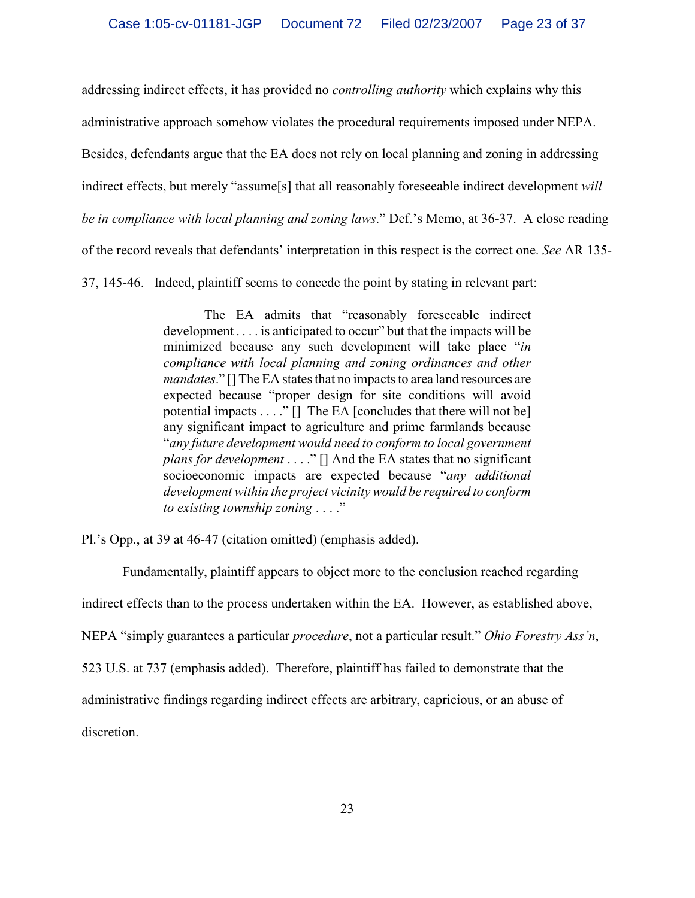addressing indirect effects, it has provided no *controlling authority* which explains why this

administrative approach somehow violates the procedural requirements imposed under NEPA.

Besides, defendants argue that the EA does not rely on local planning and zoning in addressing

indirect effects, but merely "assume[s] that all reasonably foreseeable indirect development *will*

*be in compliance with local planning and zoning laws*." Def.'s Memo, at 36-37. A close reading

of the record reveals that defendants' interpretation in this respect is the correct one. *See* AR 135-

37, 145-46. Indeed, plaintiff seems to concede the point by stating in relevant part:

The EA admits that "reasonably foreseeable indirect development . . . . is anticipated to occur" but that the impacts will be minimized because any such development will take place "*in compliance with local planning and zoning ordinances and other mandates*." [] The EA states that no impacts to area land resources are expected because "proper design for site conditions will avoid potential impacts . . . ." [] The EA [concludes that there will not be] any significant impact to agriculture and prime farmlands because "*any future development would need to conform to local government plans for development* . . . ." [] And the EA states that no significant socioeconomic impacts are expected because "*any additional development within the project vicinity would be required to conform to existing township zoning* . . . ."

Pl.'s Opp., at 39 at 46-47 (citation omitted) (emphasis added).

Fundamentally, plaintiff appears to object more to the conclusion reached regarding indirect effects than to the process undertaken within the EA. However, as established above, NEPA "simply guarantees a particular *procedure*, not a particular result." *Ohio Forestry Ass'n*, 523 U.S. at 737 (emphasis added). Therefore, plaintiff has failed to demonstrate that the administrative findings regarding indirect effects are arbitrary, capricious, or an abuse of discretion.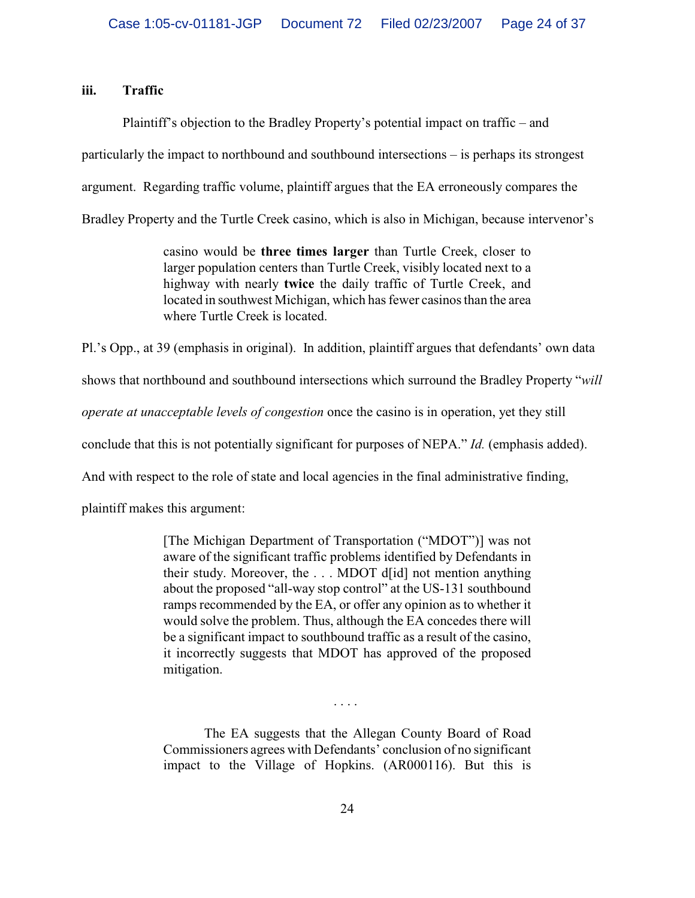## **iii. Traffic**

Plaintiff's objection to the Bradley Property's potential impact on traffic – and particularly the impact to northbound and southbound intersections – is perhaps its strongest argument. Regarding traffic volume, plaintiff argues that the EA erroneously compares the Bradley Property and the Turtle Creek casino, which is also in Michigan, because intervenor's

> casino would be **three times larger** than Turtle Creek, closer to larger population centers than Turtle Creek, visibly located next to a highway with nearly **twice** the daily traffic of Turtle Creek, and located in southwest Michigan, which has fewer casinos than the area where Turtle Creek is located.

Pl.'s Opp., at 39 (emphasis in original). In addition, plaintiff argues that defendants' own data

shows that northbound and southbound intersections which surround the Bradley Property "*will*

*operate at unacceptable levels of congestion* once the casino is in operation, yet they still

conclude that this is not potentially significant for purposes of NEPA." *Id.* (emphasis added).

And with respect to the role of state and local agencies in the final administrative finding,

plaintiff makes this argument:

[The Michigan Department of Transportation ("MDOT")] was not aware of the significant traffic problems identified by Defendants in their study. Moreover, the . . . MDOT d[id] not mention anything about the proposed "all-way stop control" at the US-131 southbound ramps recommended by the EA, or offer any opinion as to whether it would solve the problem. Thus, although the EA concedes there will be a significant impact to southbound traffic as a result of the casino, it incorrectly suggests that MDOT has approved of the proposed mitigation.

. . . .

The EA suggests that the Allegan County Board of Road Commissioners agrees with Defendants' conclusion of no significant impact to the Village of Hopkins. (AR000116). But this is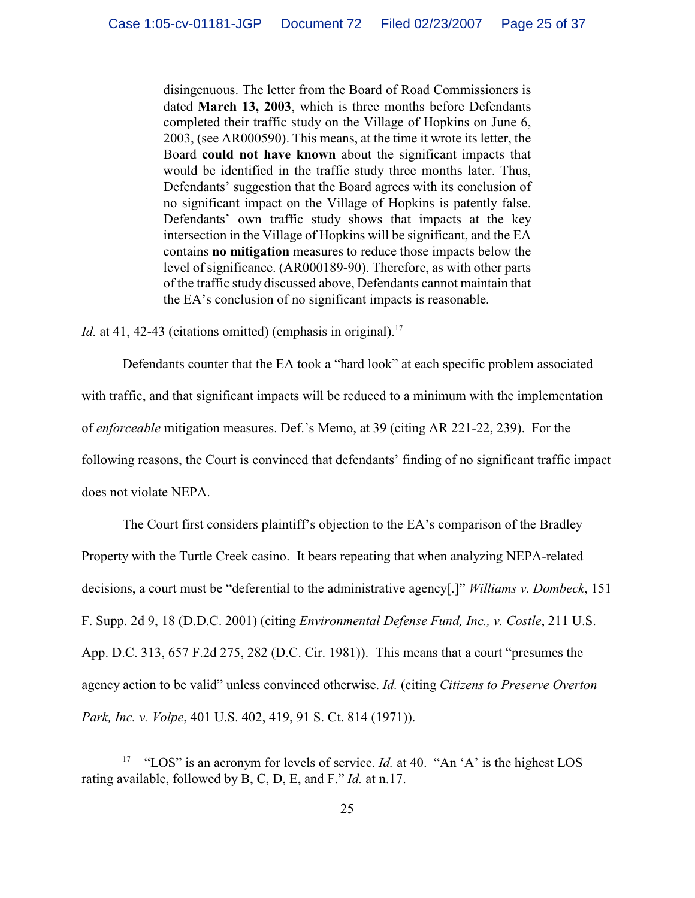disingenuous. The letter from the Board of Road Commissioners is dated **March 13, 2003**, which is three months before Defendants completed their traffic study on the Village of Hopkins on June 6, 2003, (see AR000590). This means, at the time it wrote its letter, the Board **could not have known** about the significant impacts that would be identified in the traffic study three months later. Thus, Defendants' suggestion that the Board agrees with its conclusion of no significant impact on the Village of Hopkins is patently false. Defendants' own traffic study shows that impacts at the key intersection in the Village of Hopkins will be significant, and the EA contains **no mitigation** measures to reduce those impacts below the level of significance. (AR000189-90). Therefore, as with other parts of the traffic study discussed above, Defendants cannot maintain that the EA's conclusion of no significant impacts is reasonable.

Id. at 41, 42-43 (citations omitted) (emphasis in original).<sup>17</sup>

Defendants counter that the EA took a "hard look" at each specific problem associated with traffic, and that significant impacts will be reduced to a minimum with the implementation of *enforceable* mitigation measures. Def.'s Memo, at 39 (citing AR 221-22, 239). For the following reasons, the Court is convinced that defendants' finding of no significant traffic impact does not violate NEPA.

The Court first considers plaintiff's objection to the EA's comparison of the Bradley Property with the Turtle Creek casino. It bears repeating that when analyzing NEPA-related decisions, a court must be "deferential to the administrative agency[.]" *Williams v. Dombeck*, 151 F. Supp. 2d 9, 18 (D.D.C. 2001) (citing *Environmental Defense Fund, Inc., v. Costle*, 211 U.S. App. D.C. 313, 657 F.2d 275, 282 (D.C. Cir. 1981)). This means that a court "presumes the agency action to be valid" unless convinced otherwise. *Id.* (citing *Citizens to Preserve Overton Park, Inc. v. Volpe*, 401 U.S. 402, 419, 91 S. Ct. 814 (1971)).

<sup>&</sup>lt;sup>17</sup> "LOS" is an acronym for levels of service. *Id.* at 40. "An 'A' is the highest LOS rating available, followed by B, C, D, E, and F." *Id.* at n.17.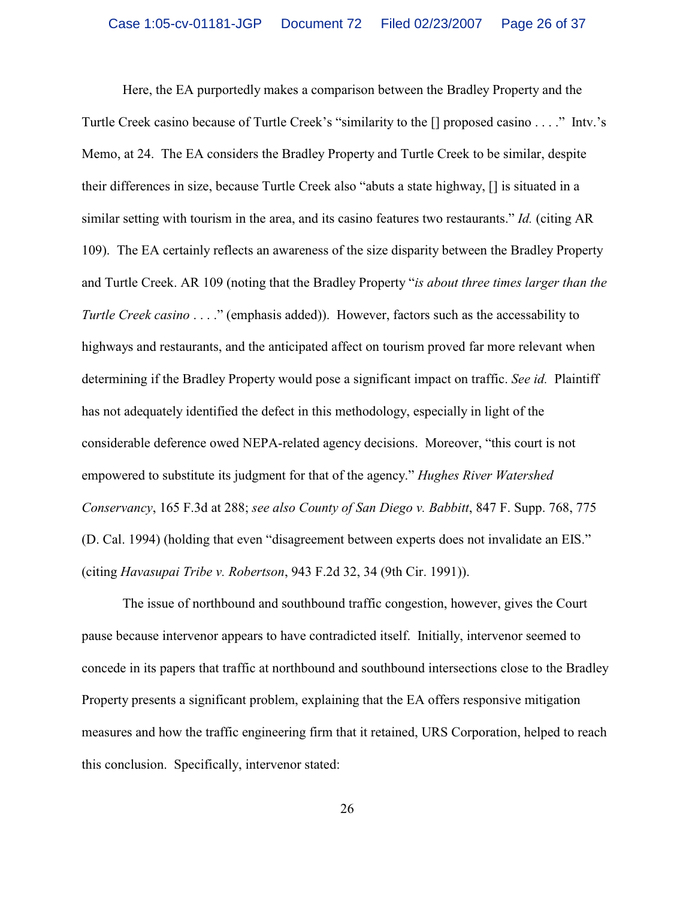Here, the EA purportedly makes a comparison between the Bradley Property and the Turtle Creek casino because of Turtle Creek's "similarity to the [] proposed casino . . . ." Intv.'s Memo, at 24. The EA considers the Bradley Property and Turtle Creek to be similar, despite their differences in size, because Turtle Creek also "abuts a state highway, [] is situated in a similar setting with tourism in the area, and its casino features two restaurants." *Id.* (citing AR 109). The EA certainly reflects an awareness of the size disparity between the Bradley Property and Turtle Creek. AR 109 (noting that the Bradley Property "*is about three times larger than the Turtle Creek casino* . . . ." (emphasis added)). However, factors such as the accessability to highways and restaurants, and the anticipated affect on tourism proved far more relevant when determining if the Bradley Property would pose a significant impact on traffic. *See id.* Plaintiff has not adequately identified the defect in this methodology, especially in light of the considerable deference owed NEPA-related agency decisions. Moreover, "this court is not empowered to substitute its judgment for that of the agency." *Hughes River Watershed Conservancy*, 165 F.3d at 288; *see also County of San Diego v. Babbitt*, 847 F. Supp. 768, 775 (D. Cal. 1994) (holding that even "disagreement between experts does not invalidate an EIS." (citing *Havasupai Tribe v. Robertson*, 943 F.2d 32, 34 (9th Cir. 1991)).

The issue of northbound and southbound traffic congestion, however, gives the Court pause because intervenor appears to have contradicted itself. Initially, intervenor seemed to concede in its papers that traffic at northbound and southbound intersections close to the Bradley Property presents a significant problem, explaining that the EA offers responsive mitigation measures and how the traffic engineering firm that it retained, URS Corporation, helped to reach this conclusion. Specifically, intervenor stated: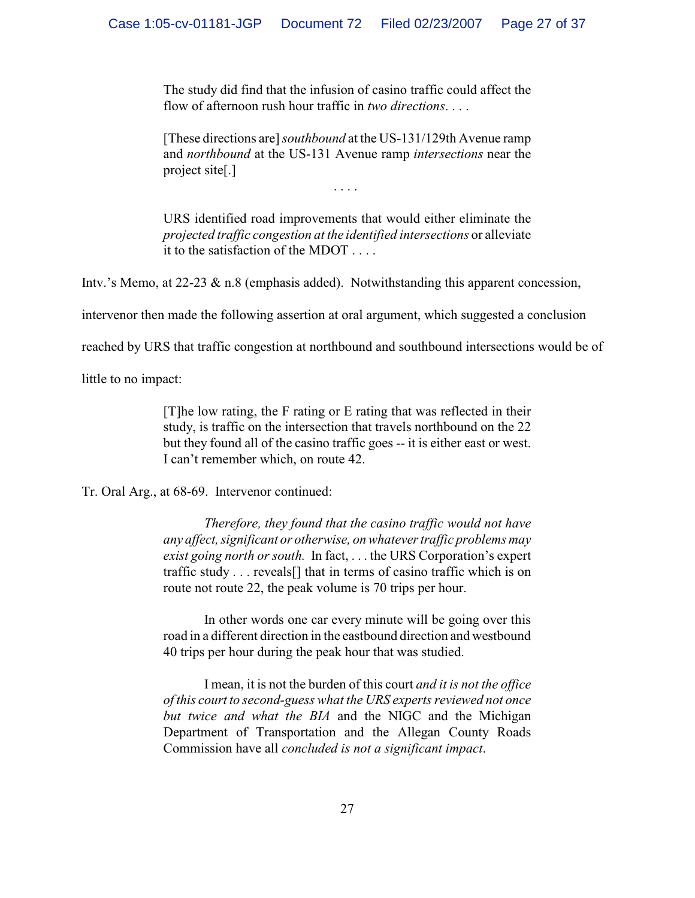The study did find that the infusion of casino traffic could affect the flow of afternoon rush hour traffic in *two directions*. . . .

[These directions are] *southbound* at the US-131/129th Avenue ramp and *northbound* at the US-131 Avenue ramp *intersections* near the project site[.]

. . . .

URS identified road improvements that would either eliminate the *projected traffic congestion at the identified intersections* or alleviate it to the satisfaction of the MDOT . . . .

Intv.'s Memo, at 22-23 & n.8 (emphasis added). Notwithstanding this apparent concession,

intervenor then made the following assertion at oral argument, which suggested a conclusion

reached by URS that traffic congestion at northbound and southbound intersections would be of

little to no impact:

[T]he low rating, the F rating or E rating that was reflected in their study, is traffic on the intersection that travels northbound on the 22 but they found all of the casino traffic goes -- it is either east or west. I can't remember which, on route 42.

Tr. Oral Arg., at 68-69. Intervenor continued:

*Therefore, they found that the casino traffic would not have any affect, significant or otherwise, on whatever traffic problems may exist going north or south.* In fact, . . . the URS Corporation's expert traffic study . . . reveals[] that in terms of casino traffic which is on route not route 22, the peak volume is 70 trips per hour.

In other words one car every minute will be going over this road in a different direction in the eastbound direction and westbound 40 trips per hour during the peak hour that was studied.

I mean, it is not the burden of this court *and it is not the office of this court to second-guess what the URS experts reviewed not once but twice and what the BIA* and the NIGC and the Michigan Department of Transportation and the Allegan County Roads Commission have all *concluded is not a significant impact*.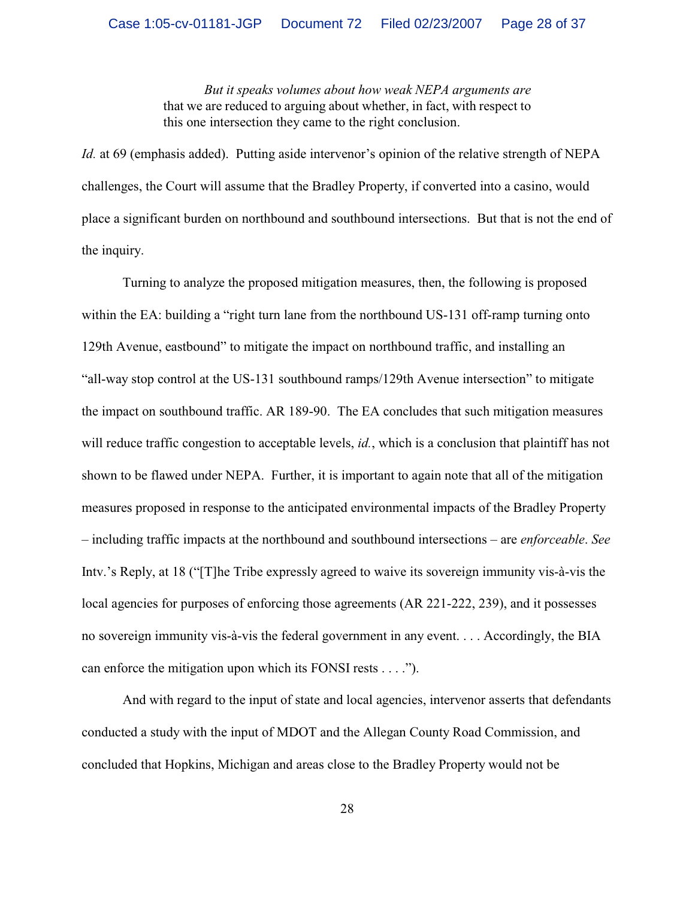*But it speaks volumes about how weak NEPA arguments are* that we are reduced to arguing about whether, in fact, with respect to this one intersection they came to the right conclusion.

*Id.* at 69 (emphasis added). Putting aside intervenor's opinion of the relative strength of NEPA challenges, the Court will assume that the Bradley Property, if converted into a casino, would place a significant burden on northbound and southbound intersections. But that is not the end of the inquiry.

Turning to analyze the proposed mitigation measures, then, the following is proposed within the EA: building a "right turn lane from the northbound US-131 off-ramp turning onto 129th Avenue, eastbound" to mitigate the impact on northbound traffic, and installing an "all-way stop control at the US-131 southbound ramps/129th Avenue intersection" to mitigate the impact on southbound traffic. AR 189-90. The EA concludes that such mitigation measures will reduce traffic congestion to acceptable levels, *id.*, which is a conclusion that plaintiff has not shown to be flawed under NEPA. Further, it is important to again note that all of the mitigation measures proposed in response to the anticipated environmental impacts of the Bradley Property – including traffic impacts at the northbound and southbound intersections – are *enforceable*. *See* Intv.'s Reply, at 18 ("[T]he Tribe expressly agreed to waive its sovereign immunity vis-à-vis the local agencies for purposes of enforcing those agreements (AR 221-222, 239), and it possesses no sovereign immunity vis-à-vis the federal government in any event. . . . Accordingly, the BIA can enforce the mitigation upon which its FONSI rests . . . .").

And with regard to the input of state and local agencies, intervenor asserts that defendants conducted a study with the input of MDOT and the Allegan County Road Commission, and concluded that Hopkins, Michigan and areas close to the Bradley Property would not be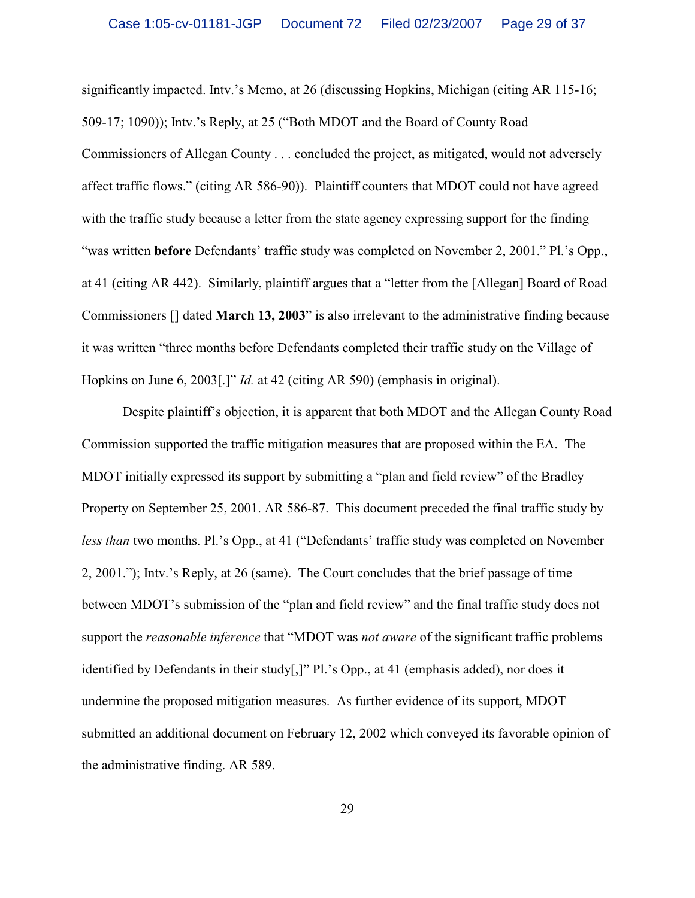significantly impacted. Intv.'s Memo, at 26 (discussing Hopkins, Michigan (citing AR 115-16; 509-17; 1090)); Intv.'s Reply, at 25 ("Both MDOT and the Board of County Road Commissioners of Allegan County . . . concluded the project, as mitigated, would not adversely affect traffic flows." (citing AR 586-90)). Plaintiff counters that MDOT could not have agreed with the traffic study because a letter from the state agency expressing support for the finding "was written **before** Defendants' traffic study was completed on November 2, 2001." Pl.'s Opp., at 41 (citing AR 442). Similarly, plaintiff argues that a "letter from the [Allegan] Board of Road Commissioners [] dated **March 13, 2003**" is also irrelevant to the administrative finding because it was written "three months before Defendants completed their traffic study on the Village of Hopkins on June 6, 2003[.]" *Id.* at 42 (citing AR 590) (emphasis in original).

Despite plaintiff's objection, it is apparent that both MDOT and the Allegan County Road Commission supported the traffic mitigation measures that are proposed within the EA. The MDOT initially expressed its support by submitting a "plan and field review" of the Bradley Property on September 25, 2001. AR 586-87. This document preceded the final traffic study by *less than* two months. Pl.'s Opp., at 41 ("Defendants' traffic study was completed on November 2, 2001."); Intv.'s Reply, at 26 (same). The Court concludes that the brief passage of time between MDOT's submission of the "plan and field review" and the final traffic study does not support the *reasonable inference* that "MDOT was *not aware* of the significant traffic problems identified by Defendants in their study[,]" Pl.'s Opp., at 41 (emphasis added), nor does it undermine the proposed mitigation measures. As further evidence of its support, MDOT submitted an additional document on February 12, 2002 which conveyed its favorable opinion of the administrative finding. AR 589.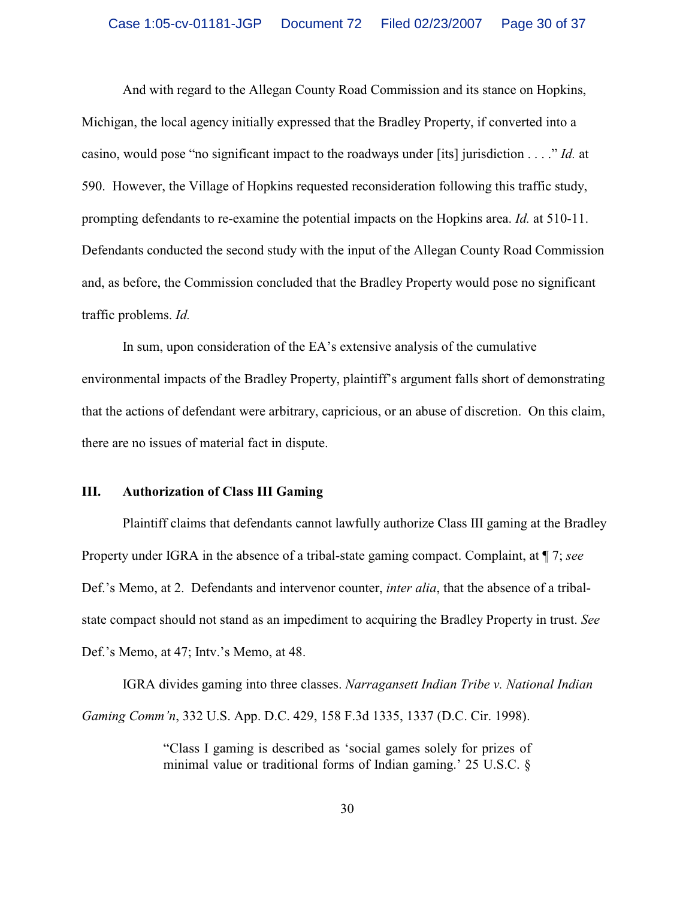And with regard to the Allegan County Road Commission and its stance on Hopkins, Michigan, the local agency initially expressed that the Bradley Property, if converted into a casino, would pose "no significant impact to the roadways under [its] jurisdiction . . . ." *Id.* at 590. However, the Village of Hopkins requested reconsideration following this traffic study, prompting defendants to re-examine the potential impacts on the Hopkins area. *Id.* at 510-11. Defendants conducted the second study with the input of the Allegan County Road Commission and, as before, the Commission concluded that the Bradley Property would pose no significant traffic problems. *Id.*

In sum, upon consideration of the EA's extensive analysis of the cumulative environmental impacts of the Bradley Property, plaintiff's argument falls short of demonstrating that the actions of defendant were arbitrary, capricious, or an abuse of discretion. On this claim, there are no issues of material fact in dispute.

#### **III. Authorization of Class III Gaming**

Plaintiff claims that defendants cannot lawfully authorize Class III gaming at the Bradley Property under IGRA in the absence of a tribal-state gaming compact. Complaint, at ¶ 7; *see* Def.'s Memo, at 2. Defendants and intervenor counter, *inter alia*, that the absence of a tribalstate compact should not stand as an impediment to acquiring the Bradley Property in trust. *See* Def.'s Memo, at 47; Intv.'s Memo, at 48.

IGRA divides gaming into three classes. *Narragansett Indian Tribe v. National Indian Gaming Comm'n*, 332 U.S. App. D.C. 429, 158 F.3d 1335, 1337 (D.C. Cir. 1998).

> "Class I gaming is described as 'social games solely for prizes of minimal value or traditional forms of Indian gaming.' 25 U.S.C. §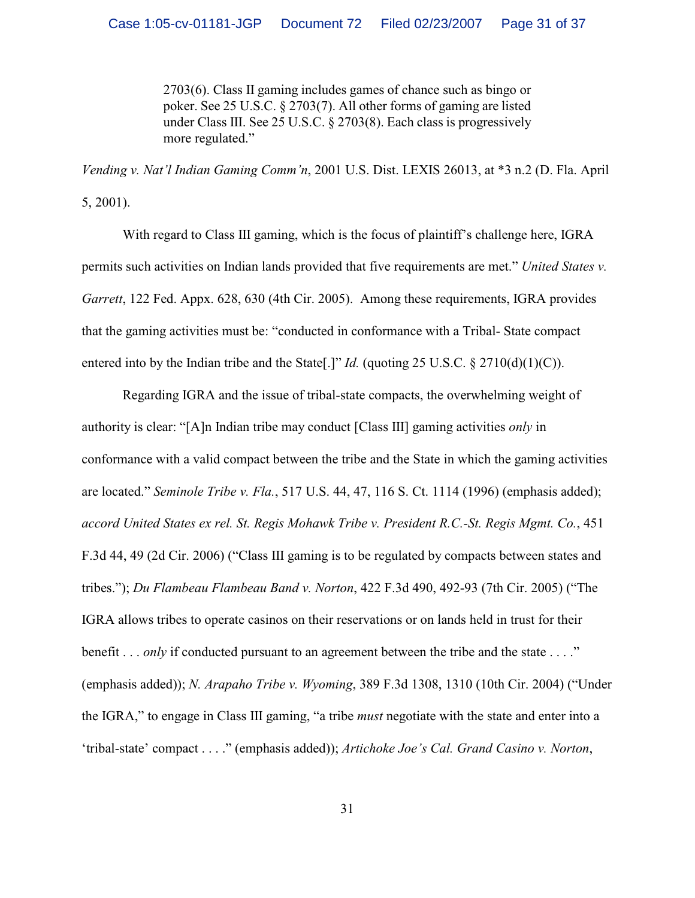2703(6). Class II gaming includes games of chance such as bingo or poker. See 25 U.S.C. § 2703(7). All other forms of gaming are listed under Class III. See 25 U.S.C. § 2703(8). Each class is progressively more regulated."

*Vending v. Nat'l Indian Gaming Comm'n*, 2001 U.S. Dist. LEXIS 26013, at \*3 n.2 (D. Fla. April 5, 2001).

With regard to Class III gaming, which is the focus of plaintiff's challenge here, IGRA permits such activities on Indian lands provided that five requirements are met." *United States v. Garrett*, 122 Fed. Appx. 628, 630 (4th Cir. 2005). Among these requirements, IGRA provides that the gaming activities must be: "conducted in conformance with a Tribal- State compact entered into by the Indian tribe and the State[.]" *Id.* (quoting 25 U.S.C.  $\S$  2710(d)(1)(C)).

Regarding IGRA and the issue of tribal-state compacts, the overwhelming weight of authority is clear: "[A]n Indian tribe may conduct [Class III] gaming activities *only* in conformance with a valid compact between the tribe and the State in which the gaming activities are located." *Seminole Tribe v. Fla.*, 517 U.S. 44, 47, 116 S. Ct. 1114 (1996) (emphasis added); *accord United States ex rel. St. Regis Mohawk Tribe v. President R.C.-St. Regis Mgmt. Co.*, 451 F.3d 44, 49 (2d Cir. 2006) ("Class III gaming is to be regulated by compacts between states and tribes."); *Du Flambeau Flambeau Band v. Norton*, 422 F.3d 490, 492-93 (7th Cir. 2005) ("The IGRA allows tribes to operate casinos on their reservations or on lands held in trust for their benefit . . . *only* if conducted pursuant to an agreement between the tribe and the state . . . ." (emphasis added)); *N. Arapaho Tribe v. Wyoming*, 389 F.3d 1308, 1310 (10th Cir. 2004) ("Under the IGRA," to engage in Class III gaming, "a tribe *must* negotiate with the state and enter into a 'tribal-state' compact . . . ." (emphasis added)); *Artichoke Joe's Cal. Grand Casino v. Norton*,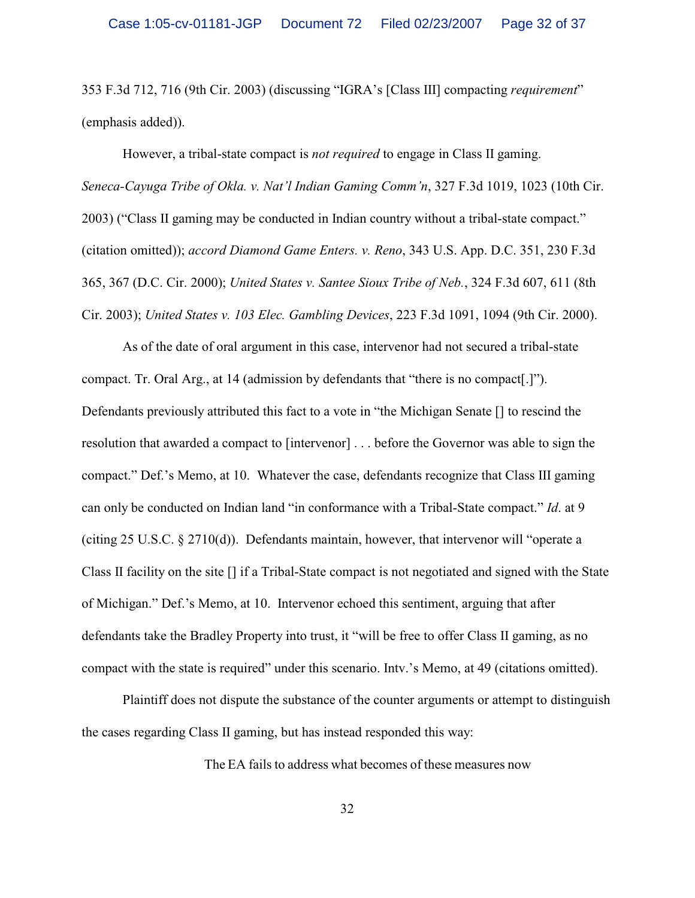353 F.3d 712, 716 (9th Cir. 2003) (discussing "IGRA's [Class III] compacting *requirement*" (emphasis added)).

However, a tribal-state compact is *not required* to engage in Class II gaming. *Seneca-Cayuga Tribe of Okla. v. Nat'l Indian Gaming Comm'n*, 327 F.3d 1019, 1023 (10th Cir. 2003) ("Class II gaming may be conducted in Indian country without a tribal-state compact." (citation omitted)); *accord Diamond Game Enters. v. Reno*, 343 U.S. App. D.C. 351, 230 F.3d 365, 367 (D.C. Cir. 2000); *United States v. Santee Sioux Tribe of Neb.*, 324 F.3d 607, 611 (8th Cir. 2003); *United States v. 103 Elec. Gambling Devices*, 223 F.3d 1091, 1094 (9th Cir. 2000).

As of the date of oral argument in this case, intervenor had not secured a tribal-state compact. Tr. Oral Arg., at 14 (admission by defendants that "there is no compact[.]"). Defendants previously attributed this fact to a vote in "the Michigan Senate [] to rescind the resolution that awarded a compact to [intervenor] . . . before the Governor was able to sign the compact." Def.'s Memo, at 10. Whatever the case, defendants recognize that Class III gaming can only be conducted on Indian land "in conformance with a Tribal-State compact." *Id*. at 9 (citing 25 U.S.C. § 2710(d)). Defendants maintain, however, that intervenor will "operate a Class II facility on the site [] if a Tribal-State compact is not negotiated and signed with the State of Michigan." Def.'s Memo, at 10. Intervenor echoed this sentiment, arguing that after defendants take the Bradley Property into trust, it "will be free to offer Class II gaming, as no compact with the state is required" under this scenario. Intv.'s Memo, at 49 (citations omitted).

Plaintiff does not dispute the substance of the counter arguments or attempt to distinguish the cases regarding Class II gaming, but has instead responded this way:

The EA fails to address what becomes of these measures now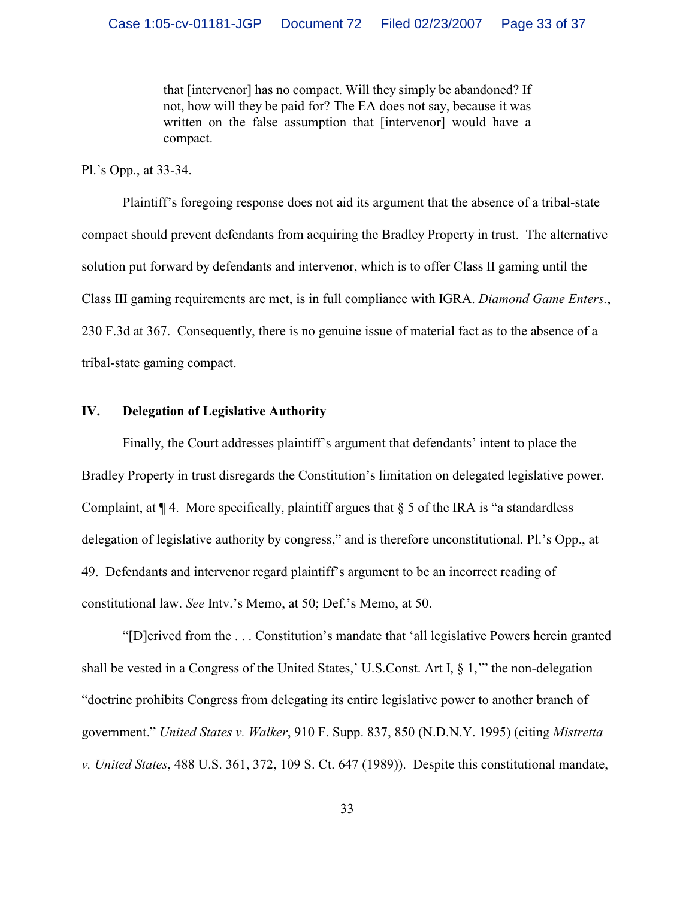that [intervenor] has no compact. Will they simply be abandoned? If not, how will they be paid for? The EA does not say, because it was written on the false assumption that [intervenor] would have a compact.

Pl.'s Opp., at 33-34.

Plaintiff's foregoing response does not aid its argument that the absence of a tribal-state compact should prevent defendants from acquiring the Bradley Property in trust. The alternative solution put forward by defendants and intervenor, which is to offer Class II gaming until the Class III gaming requirements are met, is in full compliance with IGRA. *Diamond Game Enters.*, 230 F.3d at 367. Consequently, there is no genuine issue of material fact as to the absence of a tribal-state gaming compact.

## **IV. Delegation of Legislative Authority**

Finally, the Court addresses plaintiff's argument that defendants' intent to place the Bradley Property in trust disregards the Constitution's limitation on delegated legislative power. Complaint, at  $\P$  4. More specifically, plaintiff argues that  $\S$  5 of the IRA is "a standardless" delegation of legislative authority by congress," and is therefore unconstitutional. Pl.'s Opp., at 49. Defendants and intervenor regard plaintiff's argument to be an incorrect reading of constitutional law. *See* Intv.'s Memo, at 50; Def.'s Memo, at 50.

"[D]erived from the . . . Constitution's mandate that 'all legislative Powers herein granted shall be vested in a Congress of the United States,' U.S.Const. Art I, § 1,'" the non-delegation "doctrine prohibits Congress from delegating its entire legislative power to another branch of government." *United States v. Walker*, 910 F. Supp. 837, 850 (N.D.N.Y. 1995) (citing *Mistretta v. United States*, 488 U.S. 361, 372, 109 S. Ct. 647 (1989)). Despite this constitutional mandate,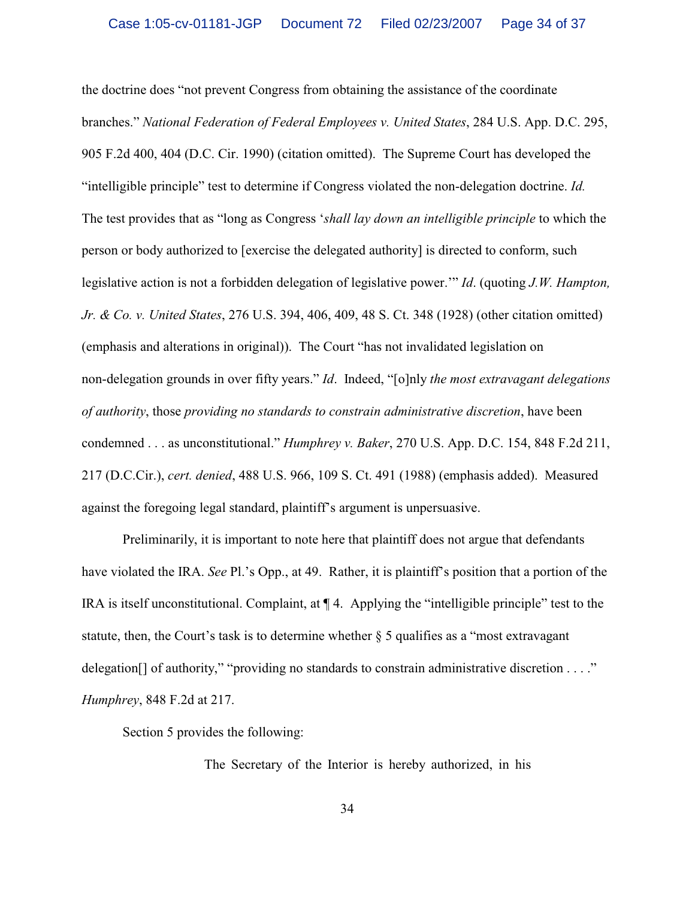the doctrine does "not prevent Congress from obtaining the assistance of the coordinate branches." *National Federation of Federal Employees v. United States*, 284 U.S. App. D.C. 295, 905 F.2d 400, 404 (D.C. Cir. 1990) (citation omitted). The Supreme Court has developed the "intelligible principle" test to determine if Congress violated the non-delegation doctrine. *Id.* The test provides that as "long as Congress '*shall lay down an intelligible principle* to which the person or body authorized to [exercise the delegated authority] is directed to conform, such legislative action is not a forbidden delegation of legislative power.'" *Id*. (quoting *J.W. Hampton, Jr. & Co. v. United States*, 276 U.S. 394, 406, 409, 48 S. Ct. 348 (1928) (other citation omitted) (emphasis and alterations in original)). The Court "has not invalidated legislation on non-delegation grounds in over fifty years." *Id*. Indeed, "[o]nly *the most extravagant delegations of authority*, those *providing no standards to constrain administrative discretion*, have been condemned . . . as unconstitutional." *Humphrey v. Baker*, 270 U.S. App. D.C. 154, 848 F.2d 211, 217 (D.C.Cir.), *cert. denied*, 488 U.S. 966, 109 S. Ct. 491 (1988) (emphasis added). Measured against the foregoing legal standard, plaintiff's argument is unpersuasive.

Preliminarily, it is important to note here that plaintiff does not argue that defendants have violated the IRA. *See* Pl.'s Opp., at 49. Rather, it is plaintiff's position that a portion of the IRA is itself unconstitutional. Complaint, at ¶ 4. Applying the "intelligible principle" test to the statute, then, the Court's task is to determine whether § 5 qualifies as a "most extravagant delegation<sup>[]</sup> of authority," "providing no standards to constrain administrative discretion . . . ." *Humphrey*, 848 F.2d at 217.

Section 5 provides the following:

The Secretary of the Interior is hereby authorized, in his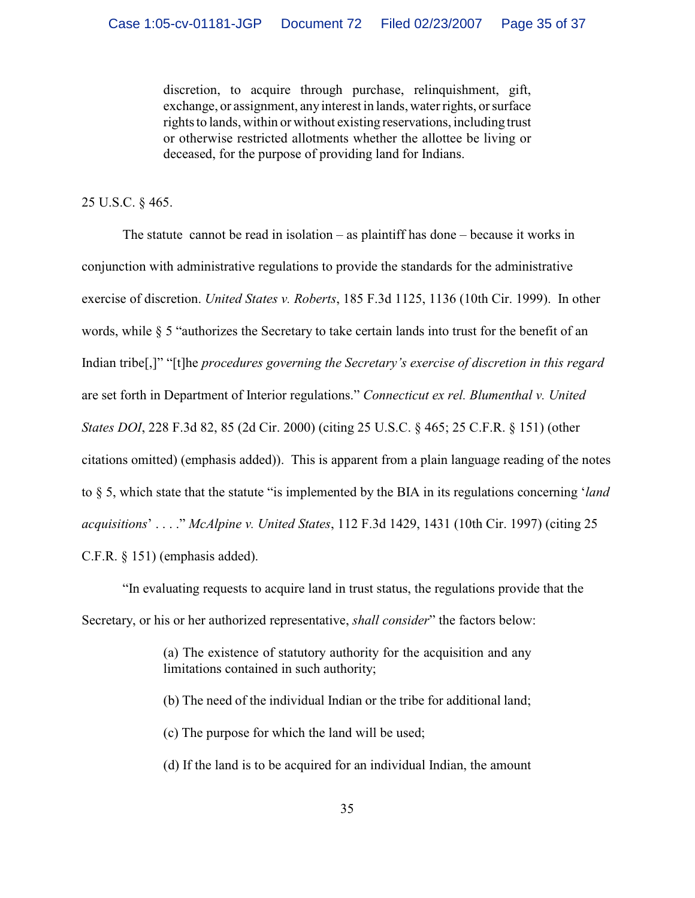discretion, to acquire through purchase, relinquishment, gift, exchange, or assignment, any interest in lands, water rights, or surface rights to lands, within or without existing reservations, including trust or otherwise restricted allotments whether the allottee be living or deceased, for the purpose of providing land for Indians.

25 U.S.C. § 465.

The statute cannot be read in isolation – as plaintiff has done – because it works in conjunction with administrative regulations to provide the standards for the administrative exercise of discretion. *United States v. Roberts*, 185 F.3d 1125, 1136 (10th Cir. 1999). In other words, while § 5 "authorizes the Secretary to take certain lands into trust for the benefit of an Indian tribe[,]" "[t]he *procedures governing the Secretary's exercise of discretion in this regard* are set forth in Department of Interior regulations." *Connecticut ex rel. Blumenthal v. United States DOI*, 228 F.3d 82, 85 (2d Cir. 2000) (citing 25 U.S.C. § 465; 25 C.F.R. § 151) (other citations omitted) (emphasis added)). This is apparent from a plain language reading of the notes to § 5, which state that the statute "is implemented by the BIA in its regulations concerning '*land acquisitions*' . . . ." *McAlpine v. United States*, 112 F.3d 1429, 1431 (10th Cir. 1997) (citing 25 C.F.R. § 151) (emphasis added).

"In evaluating requests to acquire land in trust status, the regulations provide that the Secretary, or his or her authorized representative, *shall consider*" the factors below:

> (a) The existence of statutory authority for the acquisition and any limitations contained in such authority;

- (b) The need of the individual Indian or the tribe for additional land;
- (c) The purpose for which the land will be used;
- (d) If the land is to be acquired for an individual Indian, the amount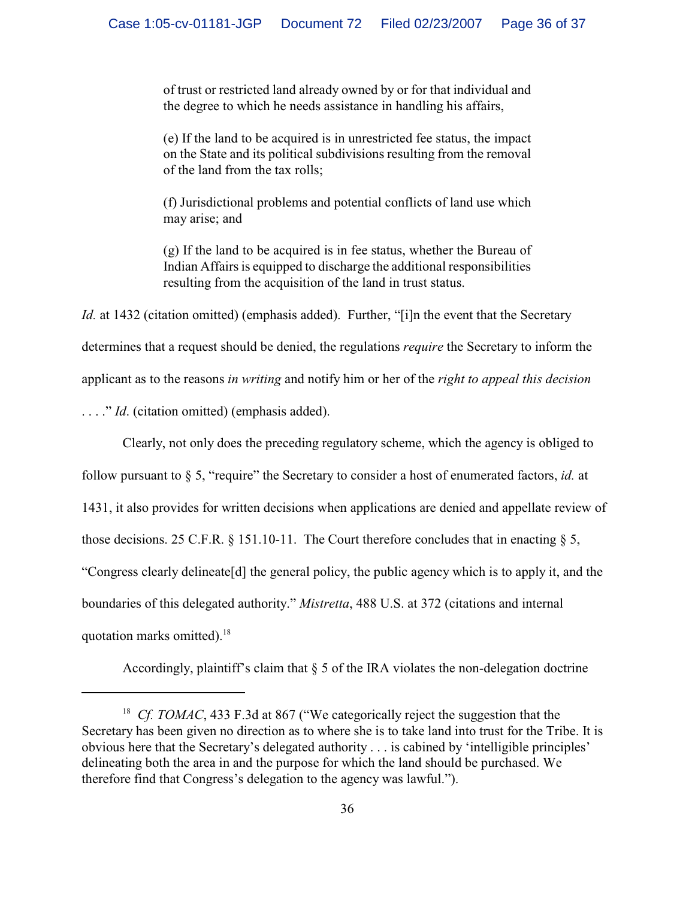of trust or restricted land already owned by or for that individual and the degree to which he needs assistance in handling his affairs,

(e) If the land to be acquired is in unrestricted fee status, the impact on the State and its political subdivisions resulting from the removal of the land from the tax rolls;

(f) Jurisdictional problems and potential conflicts of land use which may arise; and

(g) If the land to be acquired is in fee status, whether the Bureau of Indian Affairs is equipped to discharge the additional responsibilities resulting from the acquisition of the land in trust status.

*Id.* at 1432 (citation omitted) (emphasis added). Further, "[i]n the event that the Secretary determines that a request should be denied, the regulations *require* the Secretary to inform the applicant as to the reasons *in writing* and notify him or her of the *right to appeal this decision* ...." *Id.* (citation omitted) (emphasis added).

Clearly, not only does the preceding regulatory scheme, which the agency is obliged to follow pursuant to § 5, "require" the Secretary to consider a host of enumerated factors, *id.* at 1431, it also provides for written decisions when applications are denied and appellate review of those decisions. 25 C.F.R.  $\S$  151.10-11. The Court therefore concludes that in enacting  $\S$  5, "Congress clearly delineate[d] the general policy, the public agency which is to apply it, and the boundaries of this delegated authority." *Mistretta*, 488 U.S. at 372 (citations and internal quotation marks omitted).<sup>18</sup>

Accordingly, plaintiff's claim that  $\S$  5 of the IRA violates the non-delegation doctrine

<sup>&</sup>lt;sup>18</sup> Cf. TOMAC, 433 F.3d at 867 ("We categorically reject the suggestion that the Secretary has been given no direction as to where she is to take land into trust for the Tribe. It is obvious here that the Secretary's delegated authority . . . is cabined by 'intelligible principles' delineating both the area in and the purpose for which the land should be purchased. We therefore find that Congress's delegation to the agency was lawful.").